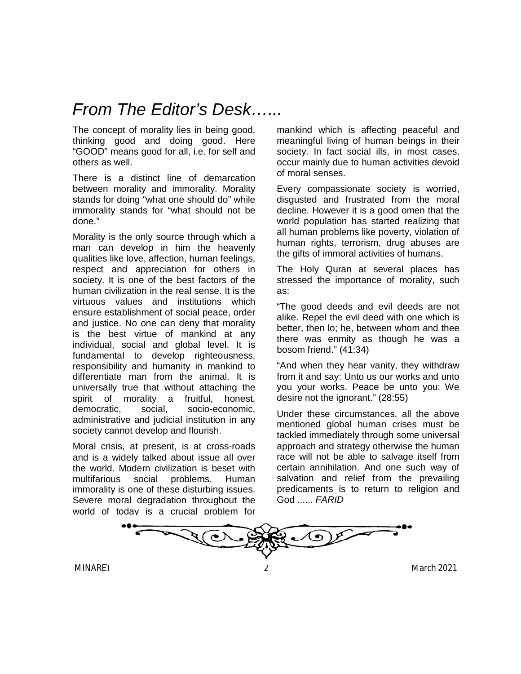## *From The Editor's Desk…...*

The concept of morality lies in being good, thinking good and doing good. Here "GOOD" means good for all, i.e. for self and others as well.

There is a distinct line of demarcation between morality and immorality. Morality stands for doing "what one should do" while immorality stands for "what should not be done."

Morality is the only source through which a man can develop in him the heavenly qualities like love, affection, human feelings, respect and appreciation for others in society. It is one of the best factors of the human civilization in the real sense. It is the virtuous values and institutions which ensure establishment of social peace, order and justice. No one can deny that morality is the best virtue of mankind at any individual, social and global level. It is fundamental to develop righteousness, responsibility and humanity in mankind to differentiate man from the animal. It is universally true that without attaching the spirit of morality a fruitful, honest, democratic, social, socio-economic, administrative and judicial institution in any society cannot develop and flourish.

Moral crisis, at present, is at cross-roads and is a widely talked about issue all over the world. Modern civilization is beset with multifarious social problems. Human immorality is one of these disturbing issues. Severe moral degradation throughout the world of today is a crucial problem for mankind which is affecting peaceful and meaningful living of human beings in their society. In fact social ills, in most cases, occur mainly due to human activities devoid of moral senses.

Every compassionate society is worried, disgusted and frustrated from the moral decline. However it is a good omen that the world population has started realizing that all human problems like poverty, violation of human rights, terrorism, drug abuses are the gifts of immoral activities of humans.

The Holy Quran at several places has stressed the importance of morality, such as:

"The good deeds and evil deeds are not alike. Repel the evil deed with one which is better, then lo; he, between whom and thee there was enmity as though he was a bosom friend." (41:34)

"And when they hear vanity, they withdraw from it and say: Unto us our works and unto you your works. Peace be unto you: We desire not the ignorant." (28:55)

Under these circumstances, all the above mentioned global human crises must be tackled immediately through some universal approach and strategy otherwise the human race will not be able to salvage itself from certain annihilation. And one such way of salvation and relief from the prevailing predicaments is to return to religion and God ...... *FARID*

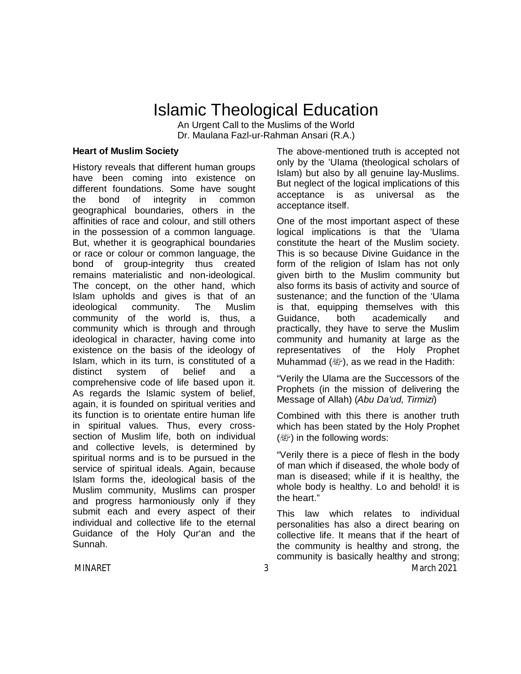## Islamic Theological Education

An Urgent Call to the Muslims of the World Dr. Maulana Fazl-ur-Rahman Ansari (R.A.)

#### **Heart of Muslim Society**

History reveals that different human groups have been coming into existence on different foundations. Some have sought the bond of integrity in common geographical boundaries, others in the affinities of race and colour, and still others in the possession of a common language. But, whether it is geographical boundaries or race or colour or common language, the bond of group-integrity thus created remains materialistic and non-ideological. The concept, on the other hand, which Islam upholds and gives is that of an ideological community. The Muslim community of the world is, thus, a community which is through and through ideological in character, having come into existence on the basis of the ideology of Islam, which in its turn, is constituted of a distinct system of belief and a comprehensive code of life based upon it. As regards the Islamic system of belief, again, it is founded on spiritual verities and its function is to orientate entire human life in spiritual values. Thus, every crosssection of Muslim life, both on individual and collective levels, is determined by spiritual norms and is to be pursued in the service of spiritual ideals. Again, because Islam forms the, ideological basis of the Muslim community, Muslims can prosper and progress harmoniously only if they submit each and every aspect of their individual and collective life to the eternal Guidance of the Holy Qur'an and the Sunnah.

The above-mentioned truth is accepted not only by the 'UIama (theological scholars of Islam) but also by all genuine lay-Muslims. But neglect of the logical implications of this acceptance is as universal as the acceptance itself.

One of the most important aspect of these logical implications is that the 'UIama constitute the heart of the Muslim society. This is so because Divine Guidance in the form of the religion of Islam has not only given birth to the Muslim community but also forms its basis of activity and source of sustenance; and the function of the 'Ulama is that, equipping themselves with this Guidance, both academically and practically, they have to serve the Muslim community and humanity at large as the representatives of the Holy Prophet Muhammad  $(\mathbb{R})$ , as we read in the Hadith:

"Verily the Ulama are the Successors of the Prophets (in the mission of delivering the Message of Allah) (*Abu Da'ud, Tirmizi*)

Combined with this there is another truth which has been stated by the Holy Prophet  $(\mathbb{R})$  in the following words:

"Verily there is a piece of flesh in the body of man which if diseased, the whole body of man is diseased; while if it is healthy, the whole body is healthy. Lo and behold! it is the heart."

This law which relates to individual personalities has also a direct bearing on collective life. It means that if the heart of the community is healthy and strong, the community is basically healthy and strong;

MINARET 3 3 March 2021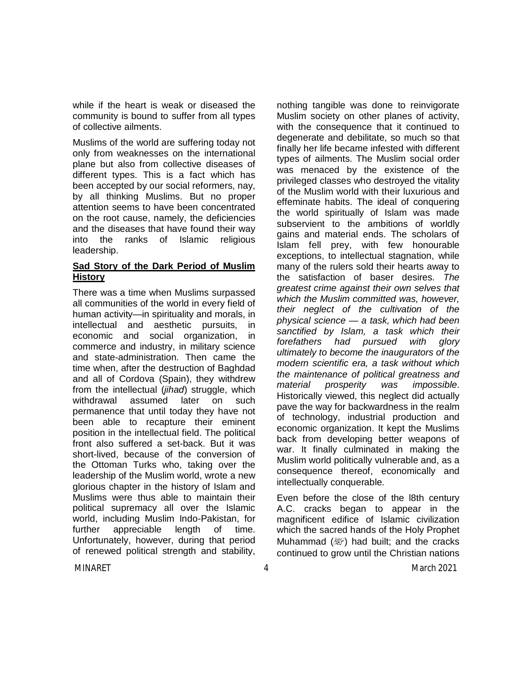while if the heart is weak or diseased the community is bound to suffer from all types of collective ailments.

Muslims of the world are suffering today not only from weaknesses on the international plane but also from collective diseases of different types. This is a fact which has been accepted by our social reformers, nay, by all thinking Muslims. But no proper attention seems to have been concentrated on the root cause, namely, the deficiencies and the diseases that have found their way into the ranks of Islamic religious leadership.

#### **Sad Story of the Dark Period of Muslim History**

There was a time when Muslims surpassed all communities of the world in every field of human activity—in spirituality and morals, in intellectual and aesthetic pursuits, in economic and social organization, in commerce and industry, in military science and state-administration. Then came the time when, after the destruction of Baghdad and all of Cordova (Spain), they withdrew from the intellectual (*jihad*) struggle, which withdrawal assumed later on such permanence that until today they have not been able to recapture their eminent position in the intellectual field. The political front also suffered a set-back. But it was short-lived, because of the conversion of the Ottoman Turks who, taking over the leadership of the Muslim world, wrote a new glorious chapter in the history of Islam and Muslims were thus able to maintain their political supremacy all over the Islamic world, including Muslim Indo-Pakistan, for further appreciable length of time. Unfortunately, however, during that period of renewed political strength and stability, nothing tangible was done to reinvigorate Muslim society on other planes of activity, with the consequence that it continued to degenerate and debilitate, so much so that finally her life became infested with different types of ailments. The Muslim social order was menaced by the existence of the privileged classes who destroyed the vitality of the Muslim world with their luxurious and effeminate habits. The ideal of conquering the world spiritually of Islam was made subservient to the ambitions of worldly gains and material ends. The scholars of Islam fell prey, with few honourable exceptions, to intellectual stagnation, while many of the rulers sold their hearts away to the satisfaction of baser desires. *The greatest crime against their own selves that which the Muslim committed was, however, their neglect of the cultivation of the physical science — a task, which had been sanctified by Islam, a task which their forefathers had pursued with glory ultimately to become the inaugurators of the modern scientific era, a task without which the maintenance of political greatness and material prosperity was impossible*. Historically viewed, this neglect did actually pave the way for backwardness in the realm of technology, industrial production and economic organization. It kept the Muslims back from developing better weapons of war. It finally culminated in making the Muslim world politically vulnerable and, as a consequence thereof, economically and intellectually conquerable.

Even before the close of the l8th century A.C. cracks began to appear in the magnificent edifice of Islamic civilization which the sacred hands of the Holy Prophet Muhammad  $(\mathbb{R})$  had built; and the cracks continued to grow until the Christian nations

MINARET 4 MINARET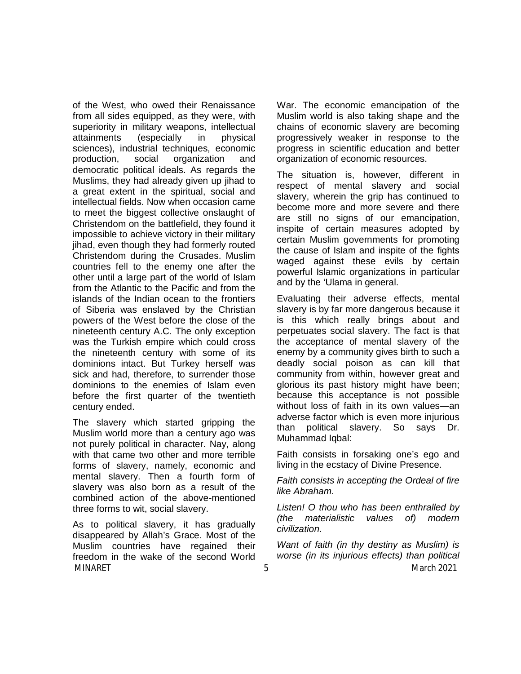of the West, who owed their Renaissance from all sides equipped, as they were, with superiority in military weapons, intellectual attainments (especially in physical sciences), industrial techniques, economic production, social organization and democratic political ideals. As regards the Muslims, they had already given up jihad to a great extent in the spiritual, social and intellectual fields. Now when occasion came to meet the biggest collective onslaught of Christendom on the battlefield, they found it impossible to achieve victory in their military jihad, even though they had formerly routed Christendom during the Crusades. Muslim countries fell to the enemy one after the other until a large part of the world of Islam from the Atlantic to the Pacific and from the islands of the Indian ocean to the frontiers of Siberia was enslaved by the Christian powers of the West before the close of the nineteenth century A.C. The only exception was the Turkish empire which could cross the nineteenth century with some of its dominions intact. But Turkey herself was sick and had, therefore, to surrender those dominions to the enemies of Islam even before the first quarter of the twentieth century ended.

The slavery which started gripping the Muslim world more than a century ago was not purely political in character. Nay, along with that came two other and more terrible forms of slavery, namely, economic and mental slavery. Then a fourth form of slavery was also born as a result of the combined action of the above-mentioned three forms to wit, social slavery.

MINARET 5 5 March 2021 As to political slavery, it has gradually disappeared by Allah's Grace. Most of the Muslim countries have regained their freedom in the wake of the second World

War. The economic emancipation of the Muslim world is also taking shape and the chains of economic slavery are becoming progressively weaker in response to the progress in scientific education and better organization of economic resources.

The situation is, however, different in respect of mental slavery and social slavery, wherein the grip has continued to become more and more severe and there are still no signs of our emancipation, inspite of certain measures adopted by certain Muslim governments for promoting the cause of Islam and inspite of the fights waged against these evils by certain powerful Islamic organizations in particular and by the 'Ulama in general.

Evaluating their adverse effects, mental slavery is by far more dangerous because it is this which really brings about and perpetuates social slavery. The fact is that the acceptance of mental slavery of the enemy by a community gives birth to such a deadly social poison as can kill that community from within, however great and glorious its past history might have been; because this acceptance is not possible without loss of faith in its own values—an adverse factor which is even more injurious than political slavery. So says Dr. Muhammad Iqbal:

Faith consists in forsaking one's ego and living in the ecstacy of Divine Presence.

*Faith consists in accepting the Ordeal of fire like Abraham.*

*Listen! O thou who has been enthralled by (the materialistic values of) modern civilization.*

*Want of faith (in thy destiny as Muslim) is worse (in its injurious effects) than political*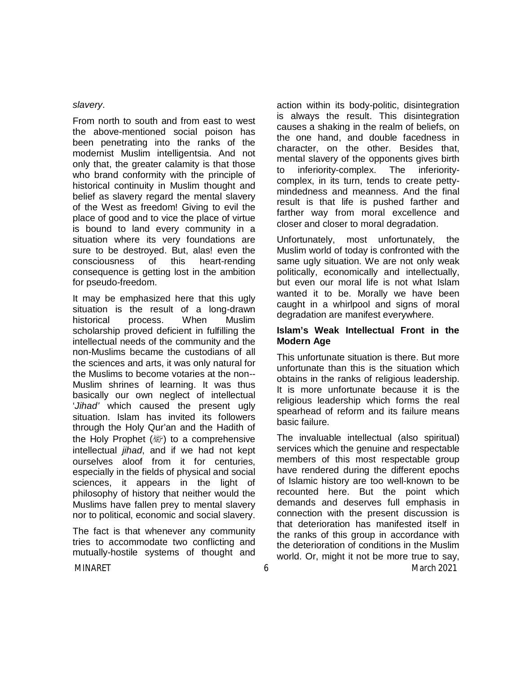#### *slavery*.

From north to south and from east to west the above-mentioned social poison has been penetrating into the ranks of the modernist Muslim intelligentsia. And not only that, the greater calamity is that those who brand conformity with the principle of historical continuity in Muslim thought and belief as slavery regard the mental slavery of the West as freedom! Giving to evil the place of good and to vice the place of virtue is bound to land every community in a situation where its very foundations are sure to be destroyed. But, alas! even the consciousness of this heart-rending consequence is getting lost in the ambition for pseudo-freedom.

It may be emphasized here that this ugly situation is the result of a long-drawn historical process. When Muslim scholarship proved deficient in fulfilling the intellectual needs of the community and the non-Muslims became the custodians of all the sciences and arts, it was only natural for the Muslims to become votaries at the non-- Muslim shrines of learning. It was thus basically our own neglect of intellectual '*Jihad'* which caused the present ugly situation. Islam has invited its followers through the Holy Qur'an and the Hadith of the Holy Prophet  $(\mathbb{R})$  to a comprehensive intellectual *jihad*, and if we had not kept ourselves aloof from it for centuries, especially in the fields of physical and social sciences, it appears in the light of philosophy of history that neither would the Muslims have fallen prey to mental slavery nor to political, economic and social slavery.

The fact is that whenever any community tries to accommodate two conflicting and mutually-hostile systems of thought and action within its body-politic, disintegration is always the result. This disintegration causes a shaking in the realm of beliefs, on the one hand, and double facedness in character, on the other. Besides that, mental slavery of the opponents gives birth to inferiority-complex. The inferioritycomplex, in its turn, tends to create pettymindedness and meanness. And the final result is that life is pushed farther and farther way from moral excellence and closer and closer to moral degradation.

Unfortunately, most unfortunately, the Muslim world of today is confronted with the same ugly situation. We are not only weak politically, economically and intellectually, but even our moral life is not what Islam wanted it to be. Morally we have been caught in a whirlpool and signs of moral degradation are manifest everywhere.

#### **Islam's Weak Intellectual Front in the Modern Age**

This unfortunate situation is there. But more unfortunate than this is the situation which obtains in the ranks of religious leadership. It is more unfortunate because it is the religious leadership which forms the real spearhead of reform and its failure means basic failure.

The invaluable intellectual (also spiritual) services which the genuine and respectable members of this most respectable group have rendered during the different epochs of Islamic history are too well-known to be recounted here. But the point which demands and deserves full emphasis in connection with the present discussion is that deterioration has manifested itself in the ranks of this group in accordance with the deterioration of conditions in the Muslim world. Or, might it not be more true to say,

MINARET 6 March 2021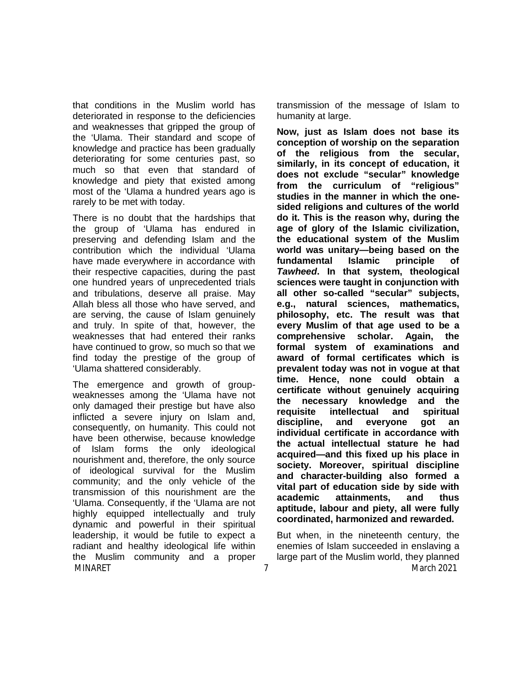that conditions in the Muslim world has deteriorated in response to the deficiencies and weaknesses that gripped the group of the 'Ulama. Their standard and scope of knowledge and practice has been gradually deteriorating for some centuries past, so much so that even that standard of knowledge and piety that existed among most of the 'Ulama a hundred years ago is rarely to be met with today.

There is no doubt that the hardships that the group of 'Ulama has endured in preserving and defending Islam and the contribution which the individual 'Ulama have made everywhere in accordance with their respective capacities, during the past one hundred years of unprecedented trials and tribulations, deserve all praise. May Allah bless all those who have served, and are serving, the cause of Islam genuinely and truly. In spite of that, however, the weaknesses that had entered their ranks have continued to grow, so much so that we find today the prestige of the group of 'Ulama shattered considerably.

MINARET 7 MINARET 2021 The emergence and growth of groupweaknesses among the 'Ulama have not only damaged their prestige but have also inflicted a severe injury on Islam and, consequently, on humanity. This could not have been otherwise, because knowledge of Islam forms the only ideological nourishment and, therefore, the only source of ideological survival for the Muslim community; and the only vehicle of the transmission of this nourishment are the 'Ulama. Consequently, if the 'Ulama are not highly equipped intellectually and truly dynamic and powerful in their spiritual leadership, it would be futile to expect a radiant and healthy ideological life within the Muslim community and a proper

transmission of the message of Islam to humanity at large.

**Now, just as Islam does not base its conception of worship on the separation of the religious from the secular, similarly, in its concept of education, it does not exclude "secular" knowledge from the curriculum of "religious" studies in the manner in which the onesided religions and cultures of the world do it. This is the reason why, during the age of glory of the Islamic civilization, the educational system of the Muslim world was unitary—being based on the fundamental Islamic principle of**  *Tawheed***. In that system, theological sciences were taught in conjunction with all other so-called "secular" subjects, e.g., natural sciences, mathematics, philosophy, etc. The result was that every Muslim of that age used to be a comprehensive scholar. Again, the formal system of examinations and award of formal certificates which is prevalent today was not in vogue at that time. Hence, none could obtain a certificate without genuinely acquiring the necessary knowledge and the requisite intellectual and spiritual discipline, and everyone got an individual certificate in accordance with the actual intellectual stature he had acquired—and this fixed up his place in society. Moreover, spiritual discipline and character-building also formed a vital part of education side by side with academic attainments, and thus aptitude, labour and piety, all were fully coordinated, harmonized and rewarded.**

But when, in the nineteenth century, the enemies of Islam succeeded in enslaving a large part of the Muslim world, they planned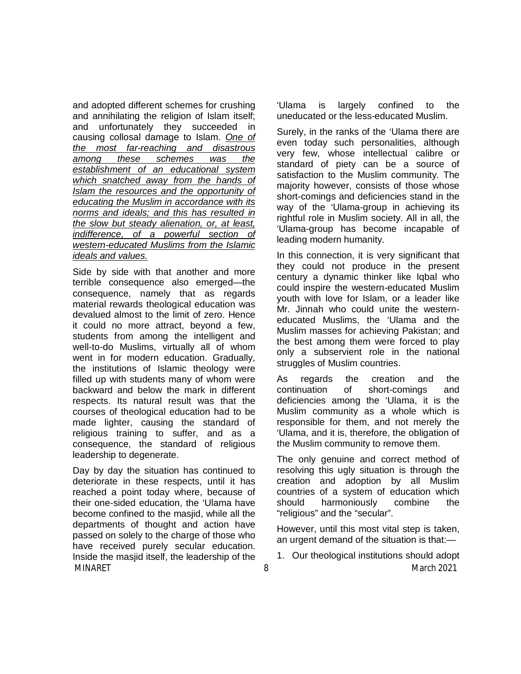and adopted different schemes for crushing and annihilating the religion of Islam itself; and unfortunately they succeeded in causing collosal damage to Islam. *One of the most far-reaching and disastrous among these schemes was the establishment of an educational system which snatched away from the hands of Islam the resources and the opportunity of educating the Muslim in accordance with its norms and ideals; and this has resulted in the slow but steady alienation, or, at least, indifference, of a powerful section of western-educated Muslims from the Islamic ideals and values.*

Side by side with that another and more terrible consequence also emerged—the consequence, namely that as regards material rewards theological education was devalued almost to the limit of zero. Hence it could no more attract, beyond a few, students from among the intelligent and well-to-do Muslims, virtually all of whom went in for modern education. Gradually, the institutions of Islamic theology were filled up with students many of whom were backward and below the mark in different respects. Its natural result was that the courses of theological education had to be made lighter, causing the standard of religious training to suffer, and as a consequence, the standard of religious leadership to degenerate.

MINARET 8 8 March 2021 Day by day the situation has continued to deteriorate in these respects, until it has reached a point today where, because of their one-sided education, the 'Ulama have become confined to the masjid, while all the departments of thought and action have passed on solely to the charge of those who have received purely secular education. Inside the masjid itself, the leadership of the

'Ulama is largely confined to the uneducated or the less-educated Muslim.

Surely, in the ranks of the 'Ulama there are even today such personalities, although very few, whose intellectual calibre or standard of piety can be a source of satisfaction to the Muslim community. The majority however, consists of those whose short-comings and deficiencies stand in the way of the 'Ulama-group in achieving its rightful role in Muslim society. All in all, the 'Ulama-group has become incapable of leading modern humanity.

In this connection, it is very significant that they could not produce in the present century a dynamic thinker like Iqbal who could inspire the western-educated Muslim youth with love for Islam, or a leader like Mr. Jinnah who could unite the westerneducated Muslims, the 'Ulama and the Muslim masses for achieving Pakistan; and the best among them were forced to play only a subservient role in the national struggles of Muslim countries.

As regards the creation and the continuation of short-comings and deficiencies among the 'Ulama, it is the Muslim community as a whole which is responsible for them, and not merely the 'Ulama, and it is, therefore, the obligation of the Muslim community to remove them.

The only genuine and correct method of resolving this ugly situation is through the creation and adoption by all Muslim countries of a system of education which should harmoniously combine the "religious" and the "secular".

However, until this most vital step is taken, an urgent demand of the situation is that:—

1. Our theological institutions should adopt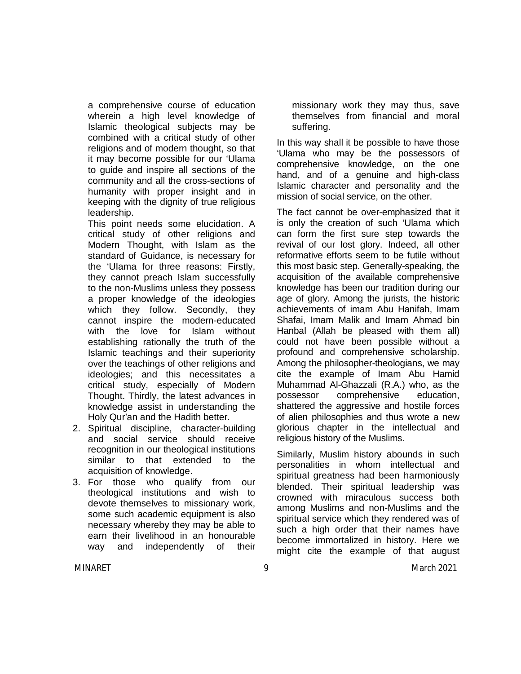a comprehensive course of education wherein a high level knowledge of Islamic theological subjects may be combined with a critical study of other religions and of modern thought, so that it may become possible for our 'Ulama to guide and inspire all sections of the community and all the cross-sections of humanity with proper insight and in keeping with the dignity of true religious leadership.

This point needs some elucidation. A critical study of other religions and Modern Thought, with Islam as the standard of Guidance, is necessary for the 'UIama for three reasons: Firstly, they cannot preach Islam successfully to the non-Muslims unless they possess a proper knowledge of the ideologies which they follow. Secondly, they cannot inspire the modern-educated with the love for Islam without establishing rationally the truth of the Islamic teachings and their superiority over the teachings of other religions and ideologies; and this necessitates a critical study, especially of Modern Thought. Thirdly, the latest advances in knowledge assist in understanding the Holy Qur'an and the Hadith better.

- 2. Spiritual discipline, character-building and social service should receive recognition in our theological institutions similar to that extended to the acquisition of knowledge.
- 3. For those who qualify from our theological institutions and wish to devote themselves to missionary work, some such academic equipment is also necessary whereby they may be able to earn their livelihood in an honourable way and independently of their

missionary work they may thus, save themselves from financial and moral suffering.

In this way shall it be possible to have those 'Ulama who may be the possessors of comprehensive knowledge, on the one hand, and of a genuine and high-class Islamic character and personality and the mission of social service, on the other.

The fact cannot be over-emphasized that it is only the creation of such 'Ulama which can form the first sure step towards the revival of our lost glory. Indeed, all other reformative efforts seem to be futile without this most basic step. Generally-speaking, the acquisition of the available comprehensive knowledge has been our tradition during our age of glory. Among the jurists, the historic achievements of imam Abu Hanifah, Imam Shafai, Imam Malik and Imam Ahmad bin Hanbal (Allah be pleased with them all) could not have been possible without a profound and comprehensive scholarship. Among the philosopher-theologians, we may cite the example of Imam Abu Hamid Muhammad Al-Ghazzali (R.A.) who, as the possessor comprehensive education, shattered the aggressive and hostile forces of alien philosophies and thus wrote a new glorious chapter in the intellectual and religious history of the Muslims.

Similarly, Muslim history abounds in such personalities in whom intellectual and spiritual greatness had been harmoniously blended. Their spiritual leadership was crowned with miraculous success both among Muslims and non-Muslims and the spiritual service which they rendered was of such a high order that their names have become immortalized in history. Here we might cite the example of that august

MINARET 9 March 2021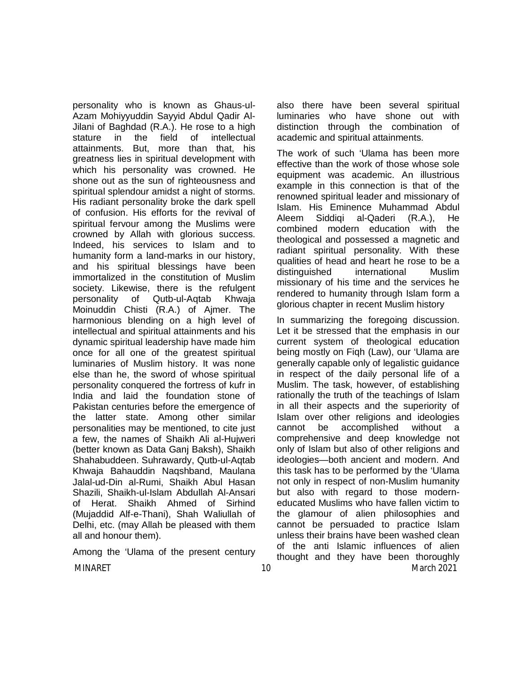personality who is known as Ghaus-ul-Azam Mohiyyuddin Sayyid Abdul Qadir Al-Jilani of Baghdad (R.A.). He rose to a high stature in the field of intellectual attainments. But, more than that, his greatness lies in spiritual development with which his personality was crowned. He shone out as the sun of righteousness and spiritual splendour amidst a night of storms. His radiant personality broke the dark spell of confusion. His efforts for the revival of spiritual fervour among the Muslims were crowned by Allah with glorious success. Indeed, his services to Islam and to humanity form a land-marks in our history, and his spiritual blessings have been immortalized in the constitution of Muslim society. Likewise, there is the refulgent personality of Qutb-ul-Aqtab Khwaja Moinuddin Chisti (R.A.) of Ajmer. The harmonious blending on a high level of intellectual and spiritual attainments and his dynamic spiritual leadership have made him once for all one of the greatest spiritual luminaries of Muslim history. It was none else than he, the sword of whose spiritual personality conquered the fortress of kufr in India and laid the foundation stone of Pakistan centuries before the emergence of the latter state. Among other similar personalities may be mentioned, to cite just a few, the names of Shaikh Ali al-Hujweri (better known as Data Ganj Baksh), Shaikh Shahabuddeen. Suhrawardy, Qutb-ul-Aqtab Khwaja Bahauddin Naqshband, Maulana Jalal-ud-Din al-Rumi, Shaikh Abul Hasan Shazili, Shaikh-ul-Islam Abdullah Al-Ansari of Herat. Shaikh Ahmed of Sirhind (Mujaddid Alf-e-Thani), Shah Waliullah of Delhi, etc. (may Allah be pleased with them all and honour them).

Among the 'Ulama of the present century

also there have been several spiritual luminaries who have shone out with distinction through the combination of academic and spiritual attainments.

The work of such 'Ulama has been more effective than the work of those whose sole equipment was academic. An illustrious example in this connection is that of the renowned spiritual leader and missionary of Islam. His Eminence Muhammad Abdul Aleem Siddiqi al-Qaderi (R.A.), He combined modern education with the theological and possessed a magnetic and radiant spiritual personality. With these qualities of head and heart he rose to be a distinguished international Muslim missionary of his time and the services he rendered to humanity through Islam form a glorious chapter in recent Muslim history

MINARET 10 March 2021 In summarizing the foregoing discussion. Let it be stressed that the emphasis in our current system of theological education being mostly on Fiqh (Law), our 'Ulama are generally capable only of legalistic guidance in respect of the daily personal life of a Muslim. The task, however, of establishing rationally the truth of the teachings of Islam in all their aspects and the superiority of Islam over other religions and ideologies cannot be accomplished without a comprehensive and deep knowledge not only of Islam but also of other religions and ideologies—both ancient and modern. And this task has to be performed by the 'Ulama not only in respect of non-Muslim humanity but also with regard to those moderneducated Muslims who have fallen victim to the glamour of alien philosophies and cannot be persuaded to practice Islam unless their brains have been washed clean of the anti Islamic influences of alien thought and they have been thoroughly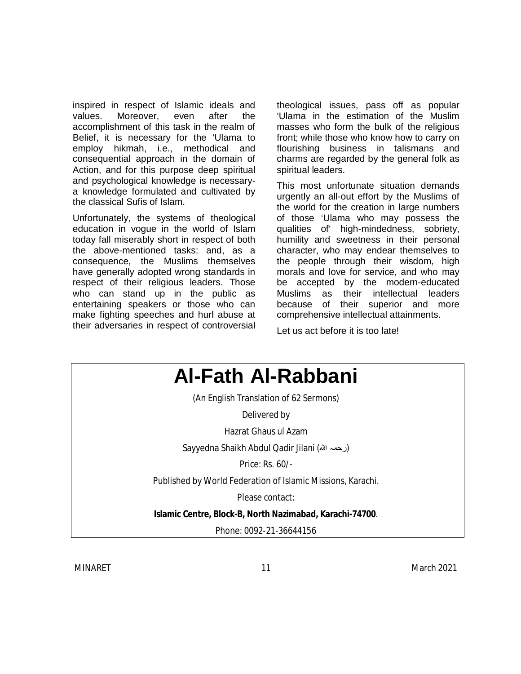inspired in respect of Islamic ideals and values. Moreover, even after the accomplishment of this task in the realm of Belief, it is necessary for the 'Ulama to employ hikmah, i.e., methodical and consequential approach in the domain of Action, and for this purpose deep spiritual and psychological knowledge is necessarya knowledge formulated and cultivated by the classical Sufis of Islam.

Unfortunately, the systems of theological education in vogue in the world of Islam today fall miserably short in respect of both the above-mentioned tasks: and, as a consequence, the Muslims themselves have generally adopted wrong standards in respect of their religious leaders. Those who can stand up in the public as entertaining speakers or those who can make fighting speeches and hurl abuse at their adversaries in respect of controversial theological issues, pass off as popular 'Ulama in the estimation of the Muslim masses who form the bulk of the religious front; while those who know how to carry on flourishing business in talismans and charms are regarded by the general folk as spiritual leaders.

This most unfortunate situation demands urgently an all-out effort by the Muslims of the world for the creation in large numbers of those 'Ulama who may possess the qualities of' high-mindedness, sobriety, humility and sweetness in their personal character, who may endear themselves to the people through their wisdom, high morals and love for service, and who may be accepted by the modern-educated Muslims as their intellectual leaders because of their superior and more comprehensive intellectual attainments.

Let us act before it is too late!



MINARET 11 March 2021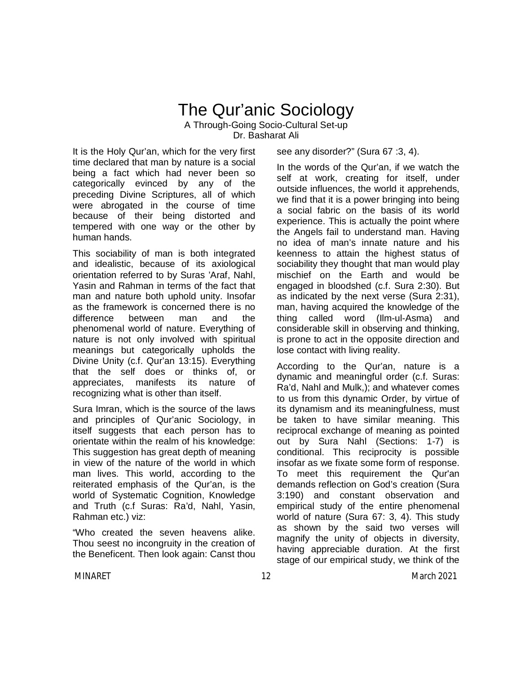## The Qur'anic Sociology A Through-Going Socio-Cultural Set-up Dr. Basharat Ali

It is the Holy Qur'an, which for the very first time declared that man by nature is a social being a fact which had never been so categorically evinced by any of the preceding Divine Scriptures, all of which were abrogated in the course of time because of their being distorted and tempered with one way or the other by human hands.

This sociability of man is both integrated and idealistic, because of its axiological orientation referred to by Suras 'Araf, Nahl, Yasin and Rahman in terms of the fact that man and nature both uphold unity. Insofar as the framework is concerned there is no difference between man and the phenomenal world of nature. Everything of nature is not only involved with spiritual meanings but categorically upholds the Divine Unity (c.f. Qur'an 13:15). Everything that the self does or thinks of, or appreciates, manifests its nature of recognizing what is other than itself.

Sura Imran, which is the source of the laws and principles of Qur'anic Sociology, in itself suggests that each person has to orientate within the realm of his knowledge: This suggestion has great depth of meaning in view of the nature of the world in which man lives. This world, according to the reiterated emphasis of the Qur'an, is the world of Systematic Cognition, Knowledge and Truth (c.f Suras: Ra'd, Nahl, Yasin, Rahman etc.) viz:

"Who created the seven heavens alike. Thou seest no incongruity in the creation of the Beneficent. Then look again: Canst thou see any disorder?" (Sura 67 :3, 4).

In the words of the Qur'an, if we watch the self at work, creating for itself, under outside influences, the world it apprehends, we find that it is a power bringing into being a social fabric on the basis of its world experience. This is actually the point where the Angels fail to understand man. Having no idea of man's innate nature and his keenness to attain the highest status of sociability they thought that man would play mischief on the Earth and would be engaged in bloodshed (c.f. Sura 2:30). But as indicated by the next verse (Sura 2:31), man, having acquired the knowledge of the thing called word (Ilm-ul-Asma) and considerable skill in observing and thinking, is prone to act in the opposite direction and lose contact with living reality.

According to the Qur'an, nature is a dynamic and meaningful order (c.f. Suras: Ra'd, Nahl and Mulk,); and whatever comes to us from this dynamic Order, by virtue of its dynamism and its meaningfulness, must be taken to have similar meaning. This reciprocal exchange of meaning as pointed out by Sura Nahl (Sections: 1-7) is conditional. This reciprocity is possible insofar as we fixate some form of response. To meet this requirement the Qur'an demands reflection on God's creation (Sura 3:190) and constant observation and empirical study of the entire phenomenal world of nature (Sura 67: 3, 4). This study as shown by the said two verses will magnify the unity of objects in diversity, having appreciable duration. At the first stage of our empirical study, we think of the

MINARET 12 March 2021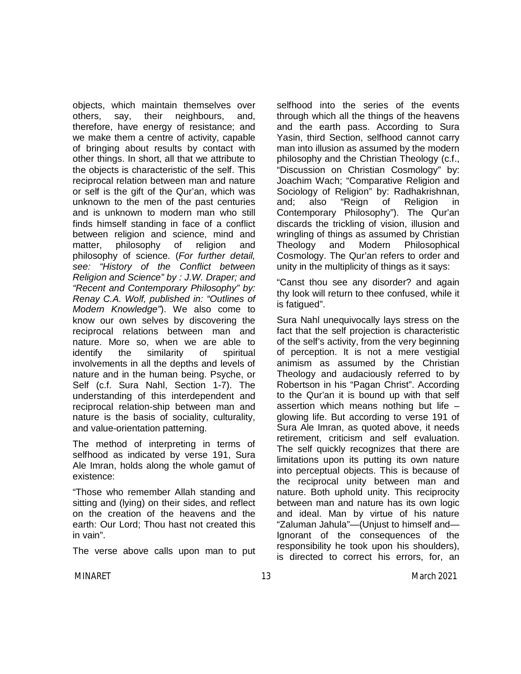objects, which maintain themselves over others, say, their neighbours, and, therefore, have energy of resistance; and we make them a centre of activity, capable of bringing about results by contact with other things. In short, all that we attribute to the objects is characteristic of the self. This reciprocal relation between man and nature or self is the gift of the Qur'an, which was unknown to the men of the past centuries and is unknown to modern man who still finds himself standing in face of a conflict between religion and science, mind and matter, philosophy of religion and philosophy of science. (*For further detail, see: "History of the Conflict between Religion and Science" by : J.W. Draper; and "Recent and Contemporary Philosophy" by: Renay C.A. Wolf, published in: "Outlines of Modern Knowledge"*). We also come to know our own selves by discovering the reciprocal relations between man and nature. More so, when we are able to identify the similarity of spiritual involvements in all the depths and levels of nature and in the human being. Psyche, or Self (c.f. Sura Nahl, Section 1-7). The understanding of this interdependent and reciprocal relation-ship between man and nature is the basis of sociality, culturality, and value-orientation patterning.

The method of interpreting in terms of selfhood as indicated by verse 191, Sura Ale Imran, holds along the whole gamut of existence:

"Those who remember Allah standing and sitting and (lying) on their sides, and reflect on the creation of the heavens and the earth: Our Lord; Thou hast not created this in vain".

The verse above calls upon man to put

selfhood into the series of the events through which all the things of the heavens and the earth pass. According to Sura Yasin, third Section, selfhood cannot carry man into illusion as assumed by the modern philosophy and the Christian Theology (c.f., "Discussion on Christian Cosmology" by: Joachim Wach; "Comparative Religion and Sociology of Religion" by: Radhakrishnan, and; also "Reign of Religion in Contemporary Philosophy"). The Qur'an discards the trickling of vision, illusion and wringling of things as assumed by Christian Theology and Modern Philosophical Cosmology. The Qur'an refers to order and unity in the multiplicity of things as it says:

"Canst thou see any disorder? and again thy look will return to thee confused, while it is fatigued".

Sura Nahl unequivocally lays stress on the fact that the self projection is characteristic of the self's activity, from the very beginning of perception. It is not a mere vestigial animism as assumed by the Christian Theology and audaciously referred to by Robertson in his "Pagan Christ". According to the Qur'an it is bound up with that self assertion which means nothing but life – glowing life. But according to verse 191 of Sura Ale Imran, as quoted above, it needs retirement, criticism and self evaluation. The self quickly recognizes that there are limitations upon its putting its own nature into perceptual objects. This is because of the reciprocal unity between man and nature. Both uphold unity. This reciprocity between man and nature has its own logic and ideal. Man by virtue of his nature "Zaluman Jahula"—(Unjust to himself and— Ignorant of the consequences of the responsibility he took upon his shoulders), is directed to correct his errors, for, an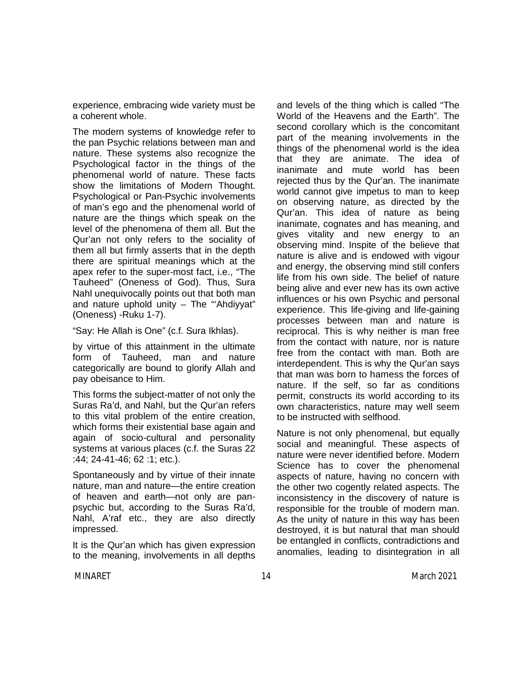experience, embracing wide variety must be a coherent whole.

The modern systems of knowledge refer to the pan Psychic relations between man and nature. These systems also recognize the Psychological factor in the things of the phenomenal world of nature. These facts show the limitations of Modern Thought. Psychological or Pan-Psychic involvements of man's ego and the phenomenal world of nature are the things which speak on the level of the phenomena of them all. But the Qur'an not only refers to the sociality of them all but firmly asserts that in the depth there are spiritual meanings which at the apex refer to the super-most fact, i.e., "The Tauheed" (Oneness of God). Thus, Sura Nahl unequivocally points out that both man and nature uphold unity – The "'Ahdiyyat" (Oneness) -Ruku 1-7).

"Say: He Allah is One" (c.f. Sura Ikhlas).

by virtue of this attainment in the ultimate form of Tauheed, man and nature categorically are bound to glorify Allah and pay obeisance to Him.

This forms the subject-matter of not only the Suras Ra'd, and Nahl, but the Qur'an refers to this vital problem of the entire creation, which forms their existential base again and again of socio-cultural and personality systems at various places (c.f. the Suras 22 :44; 24-41-46; 62 :1; etc.).

Spontaneously and by virtue of their innate nature, man and nature—the entire creation of heaven and earth—not only are panpsychic but, according to the Suras Ra'd, Nahl, A'raf etc., they are also directly impressed.

It is the Qur'an which has given expression to the meaning, involvements in all depths and levels of the thing which is called "The World of the Heavens and the Earth". The second corollary which is the concomitant part of the meaning involvements in the things of the phenomenal world is the idea that they are animate. The idea of inanimate and mute world has been rejected thus by the Qur'an. The inanimate world cannot give impetus to man to keep on observing nature, as directed by the Qur'an. This idea of nature as being inanimate, cognates and has meaning, and gives vitality and new energy to an observing mind. Inspite of the believe that nature is alive and is endowed with vigour and energy, the observing mind still confers life from his own side. The belief of nature being alive and ever new has its own active influences or his own Psychic and personal experience. This life-giving and life-gaining processes between man and nature is reciprocal. This is why neither is man free from the contact with nature, nor is nature free from the contact with man. Both are interdependent. This is why the Qur'an says that man was born to harness the forces of nature. If the self, so far as conditions permit, constructs its world according to its own characteristics, nature may well seem to be instructed with selfhood.

Nature is not only phenomenal, but equally social and meaningful. These aspects of nature were never identified before. Modern Science has to cover the phenomenal aspects of nature, having no concern with the other two cogently related aspects. The inconsistency in the discovery of nature is responsible for the trouble of modern man. As the unity of nature in this way has been destroyed, it is but natural that man should be entangled in conflicts, contradictions and anomalies, leading to disintegration in all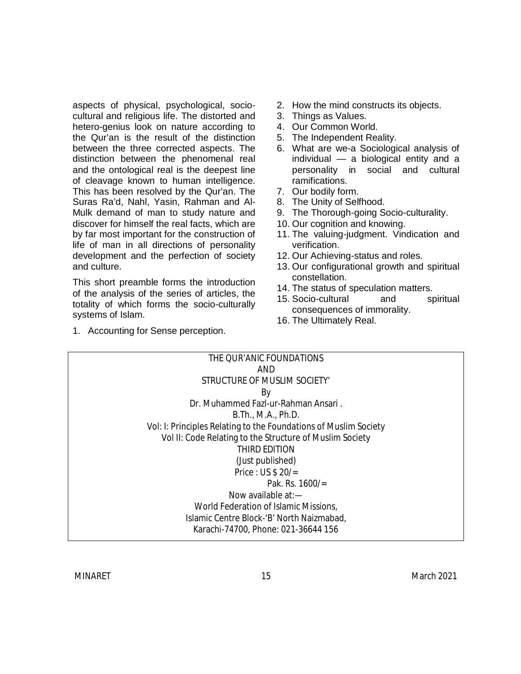aspects of physical, psychological, sociocultural and religious life. The distorted and hetero-genius look on nature according to the Qur'an is the result of the distinction between the three corrected aspects. The distinction between the phenomenal real and the ontological real is the deepest line of cleavage known to human intelligence. This has been resolved by the Qur'an. The Suras Ra'd, Nahl, Yasin, Rahman and Al-Mulk demand of man to study nature and discover for himself the real facts, which are by far most important for the construction of life of man in all directions of personality development and the perfection of society and culture.

This short preamble forms the introduction of the analysis of the series of articles, the totality of which forms the socio-culturally systems of Islam.

1. Accounting for Sense perception.

- 2. How the mind constructs its objects.
- 3. Things as Values.
- 4. Our Common World.
- 5. The Independent Reality.
- 6. What are we-a Sociological analysis of individual — a biological entity and a personality in social and cultural ramifications.
- 7. Our bodily form.
- 8. The Unity of Selfhood.
- 9. The Thorough-going Socio-culturality.
- 10. Our cognition and knowing.
- 11. The valuing-judgment. Vindication and verification.
- 12. Our Achieving-status and roles.
- 13. Our configurational growth and spiritual constellation.
- 14. The status of speculation matters.
- 15. Socio-cultural and spiritual consequences of immorality.
- 16. The Ultimately Real.

| THE OUR'ANIC FOUNDATIONS                                         |
|------------------------------------------------------------------|
| AND                                                              |
| STRUCTURE OF MUSLIM SOCIETY'                                     |
| By                                                               |
| Dr. Muhammed Fazl-ur-Rahman Ansari.                              |
| B. Th., M.A., Ph.D.                                              |
| Vol: I: Principles Relating to the Foundations of Muslim Society |
| Vol II: Code Relating to the Structure of Muslim Society         |
| THIRD EDITION                                                    |
| (Just published)                                                 |
| Price : US $$20/=$                                               |
| Pak. Rs. $1600/$ =                                               |
| Now available $at -$                                             |
| World Federation of Islamic Missions,                            |
| Islamic Centre Block-'B' North Naizmabad,                        |
| Karachi-74700, Phone: 021-36644 156                              |
|                                                                  |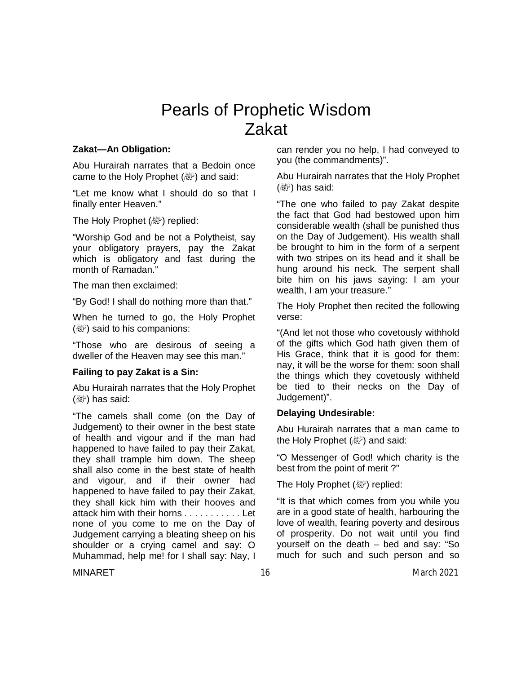## Pearls of Prophetic Wisdom Zakat

#### **Zakat—An Obligation:**

Abu Hurairah narrates that a Bedoin once came to the Holy Prophet  $(\mathbb{R}^p)$  and said:

"Let me know what I should do so that I finally enter Heaven."

The Holy Prophet (صلى الله عليه وسلم (replied:

"Worship God and be not a Polytheist, say your obligatory prayers, pay the Zakat which is obligatory and fast during the month of Ramadan."

The man then exclaimed:

"By God! I shall do nothing more than that."

When he turned to go, the Holy Prophet  $(\mathbb{Z})$  said to his companions:

"Those who are desirous of seeing a dweller of the Heaven may see this man."

### **Failing to pay Zakat is a Sin:**

Abu Hurairah narrates that the Holy Prophet  $(\mathbb{Z})$  has said:

"The camels shall come (on the Day of Judgement) to their owner in the best state of health and vigour and if the man had happened to have failed to pay their Zakat, they shall trample him down. The sheep shall also come in the best state of health and vigour, and if their owner had happened to have failed to pay their Zakat, they shall kick him with their hooves and attack him with their horns . . . . . . . . . . . Let none of you come to me on the Day of Judgement carrying a bleating sheep on his shoulder or a crying camel and say: O Muhammad, help me! for I shall say: Nay, I can render you no help, I had conveyed to you (the commandments)".

Abu Hurairah narrates that the Holy Prophet  $(\mathbb{Z})$  has said:

"The one who failed to pay Zakat despite the fact that God had bestowed upon him considerable wealth (shall be punished thus on the Day of Judgement). His wealth shall be brought to him in the form of a serpent with two stripes on its head and it shall be hung around his neck. The serpent shall bite him on his jaws saying: I am your wealth, I am your treasure."

The Holy Prophet then recited the following verse:

"(And let not those who covetously withhold of the gifts which God hath given them of His Grace, think that it is good for them: nay, it will be the worse for them: soon shall the things which they covetously withheld be tied to their necks on the Day of Judgement)".

### **Delaying Undesirable:**

Abu Hurairah narrates that a man came to the Holy Prophet ( ﷺ) and said:

"O Messenger of God! which charity is the best from the point of merit ?"

The Holy Prophet (صلى الله عليه وسلم (replied:

"It is that which comes from you while you are in a good state of health, harbouring the love of wealth, fearing poverty and desirous of prosperity. Do not wait until you find yourself on the death – bed and say: "So much for such and such person and so

MINARET 16 March 2021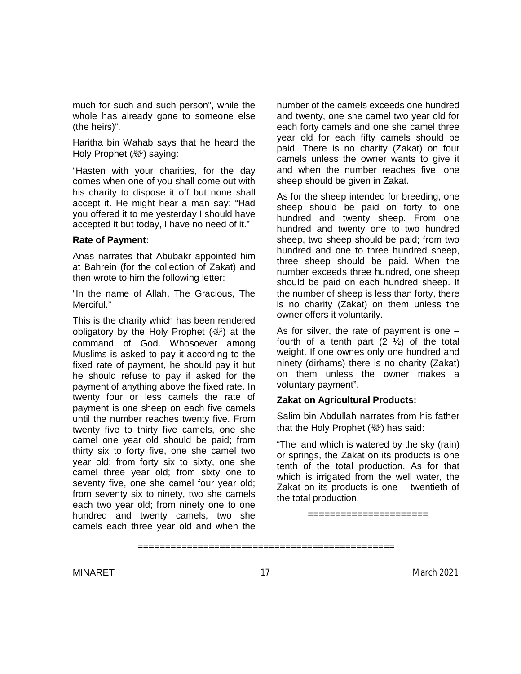much for such and such person", while the whole has already gone to someone else (the heirs)".

Haritha bin Wahab says that he heard the Holy Prophet ( ﷺ) saying:

"Hasten with your charities, for the day comes when one of you shall come out with his charity to dispose it off but none shall accept it. He might hear a man say: "Had you offered it to me yesterday I should have accepted it but today, I have no need of it."

#### **Rate of Payment:**

Anas narrates that Abubakr appointed him at Bahrein (for the collection of Zakat) and then wrote to him the following letter:

"In the name of Allah, The Gracious, The Merciful."

This is the charity which has been rendered obligatory by the Holy Prophet (。) at the command of God. Whosoever among Muslims is asked to pay it according to the fixed rate of payment, he should pay it but he should refuse to pay if asked for the payment of anything above the fixed rate. In twenty four or less camels the rate of payment is one sheep on each five camels until the number reaches twenty five. From twenty five to thirty five camels, one she camel one year old should be paid; from thirty six to forty five, one she camel two year old; from forty six to sixty, one she camel three year old; from sixty one to seventy five, one she camel four year old; from seventy six to ninety, two she camels each two year old; from ninety one to one hundred and twenty camels, two she camels each three year old and when the number of the camels exceeds one hundred and twenty, one she camel two year old for each forty camels and one she camel three year old for each fifty camels should be paid. There is no charity (Zakat) on four camels unless the owner wants to give it and when the number reaches five, one sheep should be given in Zakat.

As for the sheep intended for breeding, one sheep should be paid on forty to one hundred and twenty sheep. From one hundred and twenty one to two hundred sheep, two sheep should be paid; from two hundred and one to three hundred sheep, three sheep should be paid. When the number exceeds three hundred, one sheep should be paid on each hundred sheep. If the number of sheep is less than forty, there is no charity (Zakat) on them unless the owner offers it voluntarily.

As for silver, the rate of payment is one – fourth of a tenth part  $(2 \frac{1}{2})$  of the total weight. If one ownes only one hundred and ninety (dirhams) there is no charity (Zakat) on them unless the owner makes a voluntary payment".

#### **Zakat on Agricultural Products:**

Salim bin Abdullah narrates from his father that the Holy Prophet  $(\mathbb{R})$  has said:

"The land which is watered by the sky (rain) or springs, the Zakat on its products is one tenth of the total production. As for that which is irrigated from the well water, the Zakat on its products is one – twentieth of the total production.

======================

<sup>===============================================</sup>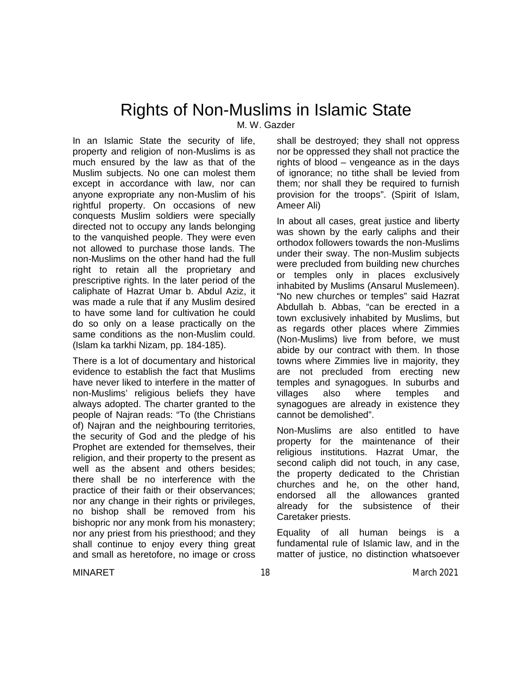## Rights of Non-Muslims in Islamic State

M. W. Gazder

In an Islamic State the security of life, property and religion of non-Muslims is as much ensured by the law as that of the Muslim subjects. No one can molest them except in accordance with law, nor can anyone expropriate any non-Muslim of his rightful property. On occasions of new conquests Muslim soldiers were specially directed not to occupy any lands belonging to the vanquished people. They were even not allowed to purchase those lands. The non-Muslims on the other hand had the full right to retain all the proprietary and prescriptive rights. In the later period of the caliphate of Hazrat Umar b. Abdul Aziz, it was made a rule that if any Muslim desired to have some land for cultivation he could do so only on a lease practically on the same conditions as the non-Muslim could. (Islam ka tarkhi Nizam, pp. 184-185).

There is a lot of documentary and historical evidence to establish the fact that Muslims have never liked to interfere in the matter of non-Muslims' religious beliefs they have always adopted. The charter granted to the people of Najran reads: "To (the Christians of) Najran and the neighbouring territories, the security of God and the pledge of his Prophet are extended for themselves, their religion, and their property to the present as well as the absent and others besides; there shall be no interference with the practice of their faith or their observances; nor any change in their rights or privileges, no bishop shall be removed from his bishopric nor any monk from his monastery; nor any priest from his priesthood; and they shall continue to enjoy every thing great and small as heretofore, no image or cross

shall be destroyed; they shall not oppress nor be oppressed they shall not practice the rights of blood – vengeance as in the days of ignorance; no tithe shall be levied from them; nor shall they be required to furnish provision for the troops". (Spirit of Islam, Ameer Ali)

In about all cases, great justice and liberty was shown by the early caliphs and their orthodox followers towards the non-Muslims under their sway. The non-Muslim subjects were precluded from building new churches or temples only in places exclusively inhabited by Muslims (Ansarul Muslemeen). "No new churches or temples" said Hazrat Abdullah b. Abbas, "can be erected in a town exclusively inhabited by Muslims, but as regards other places where Zimmies (Non-Muslims) live from before, we must abide by our contract with them. In those towns where Zimmies live in majority, they are not precluded from erecting new temples and synagogues. In suburbs and villages also where temples and synagogues are already in existence they cannot be demolished".

Non-Muslims are also entitled to have property for the maintenance of their religious institutions. Hazrat Umar, the second caliph did not touch, in any case, the property dedicated to the Christian churches and he, on the other hand, endorsed all the allowances granted already for the subsistence of their Caretaker priests.

Equality of all human beings is a fundamental rule of Islamic law, and in the matter of justice, no distinction whatsoever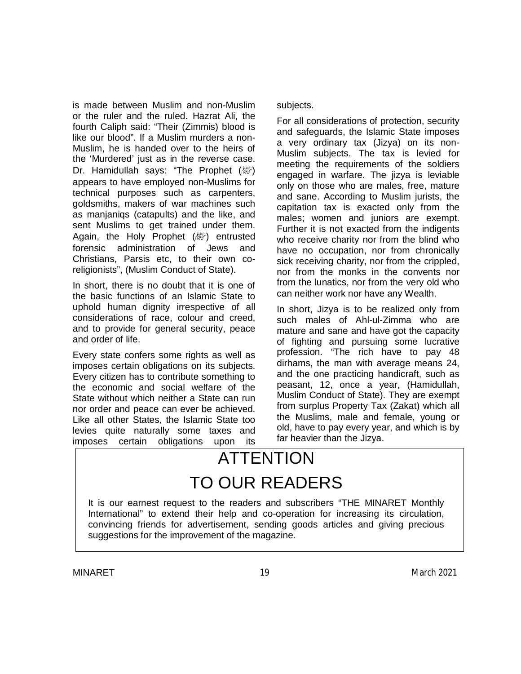is made between Muslim and non-Muslim or the ruler and the ruled. Hazrat Ali, the fourth Caliph said: "Their (Zimmis) blood is like our blood". If a Muslim murders a non-Muslim, he is handed over to the heirs of the 'Murdered' just as in the reverse case. Dr. Hamidullah says: "The Prophet (*剛*) appears to have employed non-Muslims for technical purposes such as carpenters, goldsmiths, makers of war machines such as manjaniqs (catapults) and the like, and sent Muslims to get trained under them. Again, the Holy Prophet (ﷺ) entrusted forensic administration of Jews and Christians, Parsis etc, to their own coreligionists", (Muslim Conduct of State).

In short, there is no doubt that it is one of the basic functions of an Islamic State to uphold human dignity irrespective of all considerations of race, colour and creed, and to provide for general security, peace and order of life.

Every state confers some rights as well as imposes certain obligations on its subjects. Every citizen has to contribute something to the economic and social welfare of the State without which neither a State can run nor order and peace can ever be achieved. Like all other States, the Islamic State too levies quite naturally some taxes and imposes certain obligations upon its

subjects.

For all considerations of protection, security and safeguards, the Islamic State imposes a very ordinary tax (Jizya) on its non-Muslim subjects. The tax is levied for meeting the requirements of the soldiers engaged in warfare. The jizya is leviable only on those who are males, free, mature and sane. According to Muslim jurists, the capitation tax is exacted only from the males; women and juniors are exempt. Further it is not exacted from the indigents who receive charity nor from the blind who have no occupation, nor from chronically sick receiving charity, nor from the crippled, nor from the monks in the convents nor from the lunatics, nor from the very old who can neither work nor have any Wealth.

In short, Jizya is to be realized only from such males of Ahl-ul-Zimma who are mature and sane and have got the capacity of fighting and pursuing some lucrative profession. "The rich have to pay 48 dirhams, the man with average means 24, and the one practicing handicraft, such as peasant, 12, once a year, (Hamidullah, Muslim Conduct of State). They are exempt from surplus Property Tax (Zakat) which all the Muslims, male and female, young or old, have to pay every year, and which is by far heavier than the Jizya.

# ATTENTION TO OUR READERS

It is our earnest request to the readers and subscribers "THE MINARET Monthly International" to extend their help and co-operation for increasing its circulation, convincing friends for advertisement, sending goods articles and giving precious suggestions for the improvement of the magazine.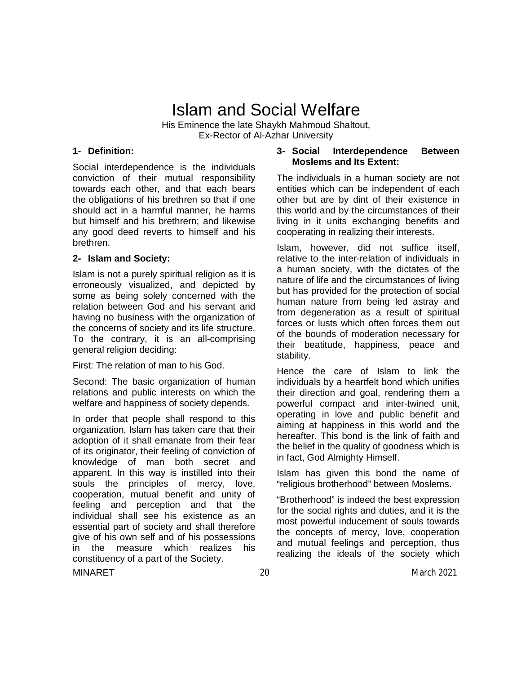## Islam and Social Welfare

His Eminence the late Shaykh Mahmoud Shaltout, Ex-Rector of Al-Azhar University

#### **1- Definition:**

Social interdependence is the individuals conviction of their mutual responsibility towards each other, and that each bears the obligations of his brethren so that if one should act in a harmful manner, he harms but himself and his brethrern; and likewise any good deed reverts to himself and his brethren.

#### **2- Islam and Society:**

Islam is not a purely spiritual religion as it is erroneously visualized, and depicted by some as being solely concerned with the relation between God and his servant and having no business with the organization of the concerns of society and its life structure. To the contrary, it is an all-comprising general religion deciding:

First: The relation of man to his God.

Second: The basic organization of human relations and public interests on which the welfare and happiness of society depends.

In order that people shall respond to this organization, Islam has taken care that their adoption of it shall emanate from their fear of its originator, their feeling of conviction of knowledge of man both secret and apparent. In this way is instilled into their souls the principles of mercy, love, cooperation, mutual benefit and unity of feeling and perception and that the individual shall see his existence as an essential part of society and shall therefore give of his own self and of his possessions in the measure which realizes his constituency of a part of the Society.

#### **3- Social Interdependence Between Moslems and Its Extent:**

The individuals in a human society are not entities which can be independent of each other but are by dint of their existence in this world and by the circumstances of their living in it units exchanging benefits and cooperating in realizing their interests.

Islam, however, did not suffice itself, relative to the inter-relation of individuals in a human society, with the dictates of the nature of life and the circumstances of living but has provided for the protection of social human nature from being led astray and from degeneration as a result of spiritual forces or lusts which often forces them out of the bounds of moderation necessary for their beatitude, happiness, peace and stability.

Hence the care of Islam to link the individuals by a heartfelt bond which unifies their direction and goal, rendering them a powerful compact and inter-twined unit, operating in love and public benefit and aiming at happiness in this world and the hereafter. This bond is the link of faith and the belief in the quality of goodness which is in fact, God Almighty Himself.

Islam has given this bond the name of "religious brotherhood" between Moslems.

"Brotherhood" is indeed the best expression for the social rights and duties, and it is the most powerful inducement of souls towards the concepts of mercy, love, cooperation and mutual feelings and perception, thus realizing the ideals of the society which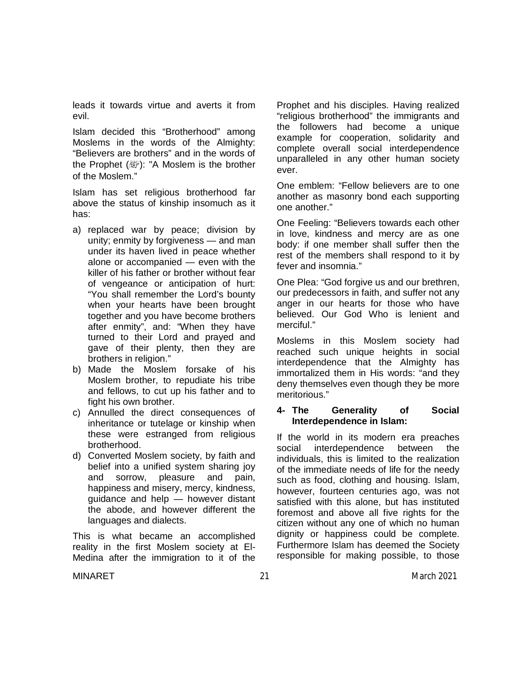leads it towards virtue and averts it from evil.

Islam decided this "Brotherhood" among Moslems in the words of the Almighty: "Believers are brothers" and in the words of the Prophet ( ): "A Moslem is the brother of the Moslem."

Islam has set religious brotherhood far above the status of kinship insomuch as it has:

- a) replaced war by peace; division by unity; enmity by forgiveness — and man under its haven lived in peace whether alone or accompanied — even with the killer of his father or brother without fear of vengeance or anticipation of hurt: "You shall remember the Lord's bounty when your hearts have been brought together and you have become brothers after enmity", and: "When they have turned to their Lord and prayed and gave of their plenty, then they are brothers in religion."
- b) Made the Moslem forsake of his Moslem brother, to repudiate his tribe and fellows, to cut up his father and to fight his own brother.
- c) Annulled the direct consequences of inheritance or tutelage or kinship when these were estranged from religious brotherhood.
- d) Converted Moslem society, by faith and belief into a unified system sharing joy and sorrow, pleasure and pain, happiness and misery, mercy, kindness, guidance and help — however distant the abode, and however different the languages and dialects.

This is what became an accomplished reality in the first Moslem society at El-Medina after the immigration to it of the

Prophet and his disciples. Having realized "religious brotherhood" the immigrants and the followers had become a unique example for cooperation, solidarity and complete overall social interdependence unparalleled in any other human society ever.

One emblem: "Fellow believers are to one another as masonry bond each supporting one another."

One Feeling: "Believers towards each other in love, kindness and mercy are as one body: if one member shall suffer then the rest of the members shall respond to it by fever and insomnia."

One Plea: "God forgive us and our brethren, our predecessors in faith, and suffer not any anger in our hearts for those who have believed. Our God Who is lenient and merciful."

Moslems in this Moslem society had reached such unique heights in social interdependence that the Almighty has immortalized them in His words: "and they deny themselves even though they be more meritorious."

#### **4- The Generality of Social Interdependence in Islam:**

If the world in its modern era preaches social interdependence between the individuals, this is limited to the realization of the immediate needs of life for the needy such as food, clothing and housing. Islam, however, fourteen centuries ago, was not satisfied with this alone, but has instituted foremost and above all five rights for the citizen without any one of which no human dignity or happiness could be complete. Furthermore Islam has deemed the Society responsible for making possible, to those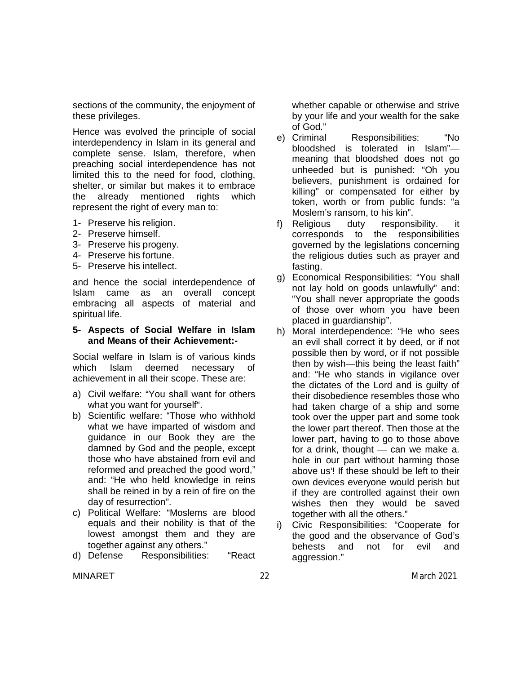sections of the community, the enjoyment of these privileges.

Hence was evolved the principle of social interdependency in Islam in its general and complete sense. Islam, therefore, when preaching social interdependence has not limited this to the need for food, clothing, shelter, or similar but makes it to embrace the already mentioned rights which represent the right of every man to:

- 1- Preserve his religion.
- 2- Preserve himself.
- 3- Preserve his progeny.
- 4- Preserve his fortune.
- 5- Preserve his intellect.

and hence the social interdependence of Islam came as an overall concept embracing all aspects of material and spiritual life.

#### **5- Aspects of Social Welfare in Islam and Means of their Achievement:-**

Social welfare in Islam is of various kinds which Islam deemed necessary of achievement in all their scope. These are:

- a) Civil welfare: "You shall want for others what you want for yourself".
- b) Scientific welfare: "Those who withhold what we have imparted of wisdom and guidance in our Book they are the damned by God and the people, except those who have abstained from evil and reformed and preached the good word," and: "He who held knowledge in reins shall be reined in by a rein of fire on the day of resurrection".
- c) Political Welfare: "Moslems are blood equals and their nobility is that of the lowest amongst them and they are together against any others."
- d) Defense Responsibilities: "React

whether capable or otherwise and strive by your life and your wealth for the sake of God."

- e) Criminal Responsibilities: "No bloodshed is tolerated in Islam" meaning that bloodshed does not go unheeded but is punished: "Oh you believers, punishment is ordained for killing" or compensated for either by token, worth or from public funds: "a Moslem's ransom, to his kin".
- f) Religious duty responsibility. it corresponds to the responsibilities governed by the legislations concerning the religious duties such as prayer and fasting.
- g) Economical Responsibilities: "You shall not lay hold on goods unlawfully" and: "You shall never appropriate the goods of those over whom you have been placed in guardianship".
- h) Moral interdependence: "He who sees an evil shall correct it by deed, or if not possible then by word, or if not possible then by wish—this being the least faith" and: "He who stands in vigilance over the dictates of the Lord and is guilty of their disobedience resembles those who had taken charge of a ship and some took over the upper part and some took the lower part thereof. Then those at the lower part, having to go to those above for a drink, thought — can we make a. hole in our part without harming those above us'! If these should be left to their own devices everyone would perish but if they are controlled against their own wishes then they would be saved together with all the others."
- i) Civic Responsibilities: "Cooperate for the good and the observance of God's behests and not for evil and aggression."

MINARET 22 22 March 2021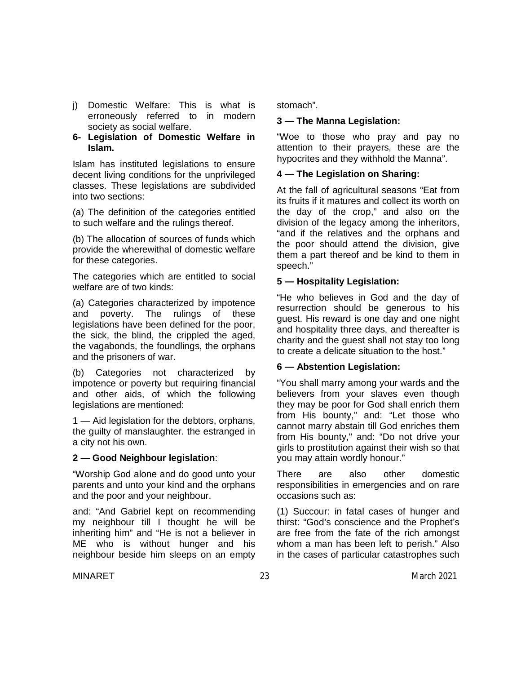- j) Domestic Welfare: This is what is erroneously referred to in modern society as social welfare.
- **6- Legislation of Domestic Welfare in Islam.**

Islam has instituted legislations to ensure decent living conditions for the unprivileged classes. These legislations are subdivided into two sections:

(a) The definition of the categories entitled to such welfare and the rulings thereof.

(b) The allocation of sources of funds which provide the wherewithal of domestic welfare for these categories.

The categories which are entitled to social welfare are of two kinds:

(a) Categories characterized by impotence and poverty. The rulings of these legislations have been defined for the poor, the sick, the blind, the crippled the aged, the vagabonds, the foundlings, the orphans and the prisoners of war.

(b) Categories not characterized by impotence or poverty but requiring financial and other aids, of which the following legislations are mentioned:

1 — Aid legislation for the debtors, orphans, the guilty of manslaughter. the estranged in a city not his own.

### **2 — Good Neighbour legislation**:

"Worship God alone and do good unto your parents and unto your kind and the orphans and the poor and your neighbour.

and: "And Gabriel kept on recommending my neighbour till I thought he will be inheriting him" and "He is not a believer in ME who is without hunger and his neighbour beside him sleeps on an empty stomach".

## **3 — The Manna Legislation:**

"Woe to those who pray and pay no attention to their prayers, these are the hypocrites and they withhold the Manna".

## **4 — The Legislation on Sharing:**

At the fall of agricultural seasons "Eat from its fruits if it matures and collect its worth on the day of the crop," and also on the division of the legacy among the inheritors, "and if the relatives and the orphans and the poor should attend the division, give them a part thereof and be kind to them in speech."

## **5 — Hospitality Legislation:**

"He who believes in God and the day of resurrection should be generous to his guest. His reward is one day and one night and hospitality three days, and thereafter is charity and the guest shall not stay too long to create a delicate situation to the host."

### **6 — Abstention Legislation:**

"You shall marry among your wards and the believers from your slaves even though they may be poor for God shall enrich them from His bounty," and: "Let those who cannot marry abstain till God enriches them from His bounty," and: "Do not drive your girls to prostitution against their wish so that you may attain wordly honour."

There are also other domestic responsibilities in emergencies and on rare occasions such as:

(1) Succour: in fatal cases of hunger and thirst: "God's conscience and the Prophet's are free from the fate of the rich amongst whom a man has been left to perish." Also in the cases of particular catastrophes such

MINARET 23 23 March 2021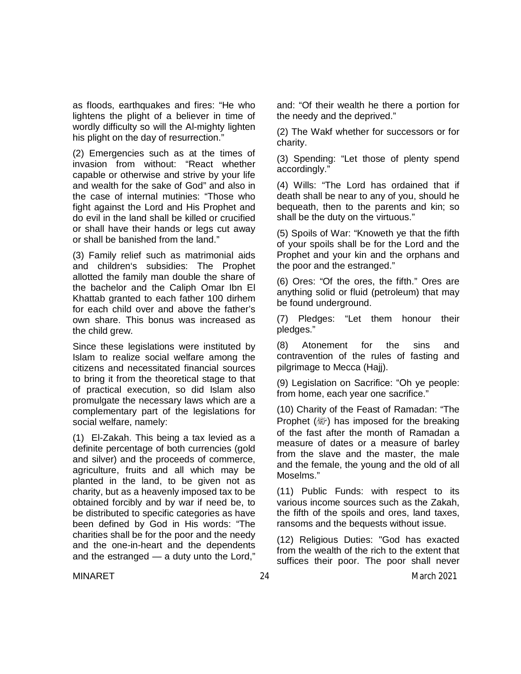as floods, earthquakes and fires: "He who lightens the plight of a believer in time of wordly difficulty so will the Al-mighty lighten his plight on the day of resurrection."

(2) Emergencies such as at the times of invasion from without: "React whether capable or otherwise and strive by your life and wealth for the sake of God" and also in the case of internal mutinies: "Those who fight against the Lord and His Prophet and do evil in the land shall be killed or crucified or shall have their hands or legs cut away or shall be banished from the land."

(3) Family relief such as matrimonial aids and children's subsidies: The Prophet allotted the family man double the share of the bachelor and the Caliph Omar Ibn El Khattab granted to each father 100 dirhem for each child over and above the father's own share. This bonus was increased as the child grew.

Since these legislations were instituted by Islam to realize social welfare among the citizens and necessitated financial sources to bring it from the theoretical stage to that of practical execution, so did Islam also promulgate the necessary laws which are a complementary part of the legislations for social welfare, namely:

(1) El-Zakah. This being a tax levied as a definite percentage of both currencies (gold and silver) and the proceeds of commerce, agriculture, fruits and all which may be planted in the land, to be given not as charity, but as a heavenly imposed tax to be obtained forcibly and by war if need be, to be distributed to specific categories as have been defined by God in His words: "The charities shall be for the poor and the needy and the one-in-heart and the dependents and the estranged — a duty unto the Lord,"

and: "Of their wealth he there a portion for the needy and the deprived."

(2) The Wakf whether for successors or for charity.

(3) Spending: "Let those of plenty spend accordingly."

(4) Wills: "The Lord has ordained that if death shall be near to any of you, should he bequeath, then to the parents and kin; so shall be the duty on the virtuous."

(5) Spoils of War: "Knoweth ye that the fifth of your spoils shall be for the Lord and the Prophet and your kin and the orphans and the poor and the estranged."

(6) Ores: "Of the ores, the fifth." Ores are anything solid or fluid (petroleum) that may be found underground.

(7) Pledges: "Let them honour their pledges."

(8) Atonement for the sins and contravention of the rules of fasting and pilgrimage to Mecca (Hajj).

(9) Legislation on Sacrifice: "Oh ye people: from home, each year one sacrifice."

(10) Charity of the Feast of Ramadan: "The Prophet ( ) has imposed for the breaking of the fast after the month of Ramadan a measure of dates or a measure of barley from the slave and the master, the male and the female, the young and the old of all Moselms."

(11) Public Funds: with respect to its various income sources such as the Zakah, the fifth of the spoils and ores, land taxes, ransoms and the bequests without issue.

(12) Religious Duties: "God has exacted from the wealth of the rich to the extent that suffices their poor. The poor shall never

MINARET 24 MINARET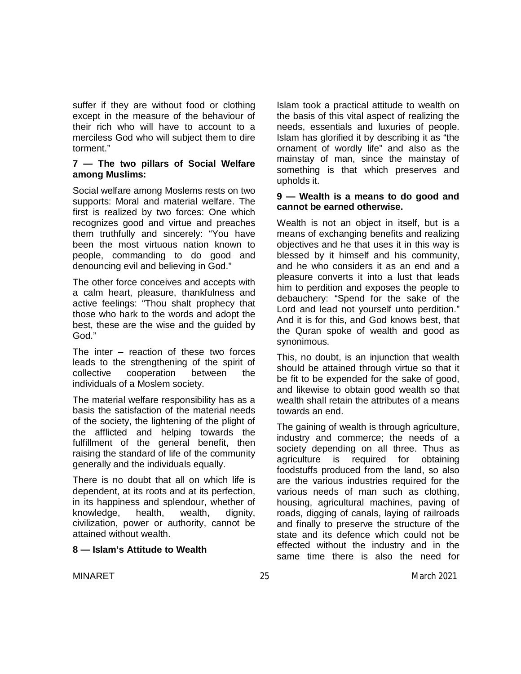suffer if they are without food or clothing except in the measure of the behaviour of their rich who will have to account to a merciless God who will subject them to dire torment."

#### **7 — The two pillars of Social Welfare among Muslims:**

Social welfare among Moslems rests on two supports: Moral and material welfare. The first is realized by two forces: One which recognizes good and virtue and preaches them truthfully and sincerely: "You have been the most virtuous nation known to people, commanding to do good and denouncing evil and believing in God."

The other force conceives and accepts with a calm heart, pleasure, thankfulness and active feelings: "Thou shalt prophecy that those who hark to the words and adopt the best, these are the wise and the guided by God."

The inter – reaction of these two forces leads to the strengthening of the spirit of collective cooperation between the individuals of a Moslem society.

The material welfare responsibility has as a basis the satisfaction of the material needs of the society, the lightening of the plight of the afflicted and helping towards the fulfillment of the general benefit, then raising the standard of life of the community generally and the individuals equally.

There is no doubt that all on which life is dependent, at its roots and at its perfection, in its happiness and splendour, whether of knowledge, health, wealth, dignity, civilization, power or authority, cannot be attained without wealth.

### **8 — Islam's Attitude to Wealth**

Islam took a practical attitude to wealth on the basis of this vital aspect of realizing the needs, essentials and luxuries of people. Islam has glorified it by describing it as "the ornament of wordly life" and also as the mainstay of man, since the mainstay of something is that which preserves and upholds it.

#### **9 — Wealth is a means to do good and cannot be earned otherwise.**

Wealth is not an object in itself, but is a means of exchanging benefits and realizing objectives and he that uses it in this way is blessed by it himself and his community, and he who considers it as an end and a pleasure converts it into a lust that leads him to perdition and exposes the people to debauchery: "Spend for the sake of the Lord and lead not yourself unto perdition." And it is for this, and God knows best, that the Quran spoke of wealth and good as synonimous.

This, no doubt, is an injunction that wealth should be attained through virtue so that it be fit to be expended for the sake of good, and likewise to obtain good wealth so that wealth shall retain the attributes of a means towards an end.

The gaining of wealth is through agriculture, industry and commerce; the needs of a society depending on all three. Thus as agriculture is required for obtaining foodstuffs produced from the land, so also are the various industries required for the various needs of man such as clothing, housing, agricultural machines, paving of roads, digging of canals, laying of railroads and finally to preserve the structure of the state and its defence which could not be effected without the industry and in the same time there is also the need for

MINARET 25 25 March 2021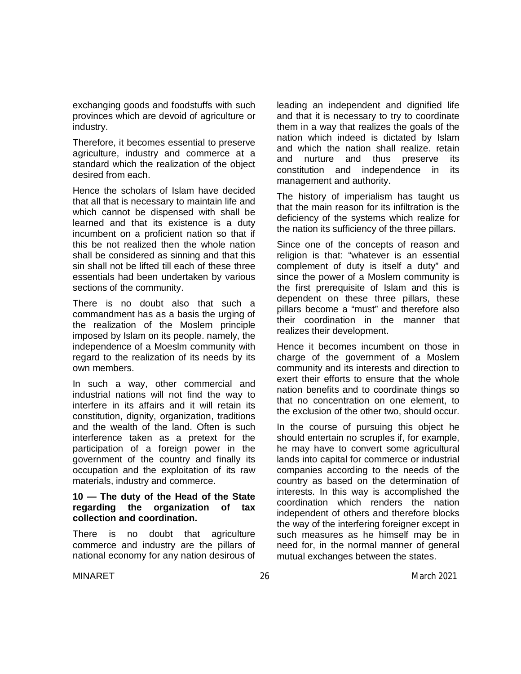exchanging goods and foodstuffs with such provinces which are devoid of agriculture or industry.

Therefore, it becomes essential to preserve agriculture, industry and commerce at a standard which the realization of the object desired from each.

Hence the scholars of Islam have decided that all that is necessary to maintain life and which cannot be dispensed with shall be learned and that its existence is a duty incumbent on a proficient nation so that if this be not realized then the whole nation shall be considered as sinning and that this sin shall not be lifted till each of these three essentials had been undertaken by various sections of the community.

There is no doubt also that such a commandment has as a basis the urging of the realization of the Moslem principle imposed by Islam on its people. namely, the independence of a Moeslm community with regard to the realization of its needs by its own members.

In such a way, other commercial and industrial nations will not find the way to interfere in its affairs and it will retain its constitution, dignity, organization, traditions and the wealth of the land. Often is such interference taken as a pretext for the participation of a foreign power in the government of the country and finally its occupation and the exploitation of its raw materials, industry and commerce.

#### **10 — The duty of the Head of the State regarding the organization of tax collection and coordination.**

There is no doubt that agriculture commerce and industry are the pillars of national economy for any nation desirous of leading an independent and dignified life and that it is necessary to try to coordinate them in a way that realizes the goals of the nation which indeed is dictated by Islam and which the nation shall realize. retain and nurture and thus preserve its constitution and independence in its management and authority.

The history of imperialism has taught us that the main reason for its infiltration is the deficiency of the systems which realize for the nation its sufficiency of the three pillars.

Since one of the concepts of reason and religion is that: "whatever is an essential complement of duty is itself a duty" and since the power of a Moslem community is the first prerequisite of Islam and this is dependent on these three pillars, these pillars become a "must" and therefore also their coordination in the manner that realizes their development.

Hence it becomes incumbent on those in charge of the government of a Moslem community and its interests and direction to exert their efforts to ensure that the whole nation benefits and to coordinate things so that no concentration on one element, to the exclusion of the other two, should occur.

In the course of pursuing this object he should entertain no scruples if, for example, he may have to convert some agricultural lands into capital for commerce or industrial companies according to the needs of the country as based on the determination of interests. In this way is accomplished the coordination which renders the nation independent of others and therefore blocks the way of the interfering foreigner except in such measures as he himself may be in need for, in the normal manner of general mutual exchanges between the states.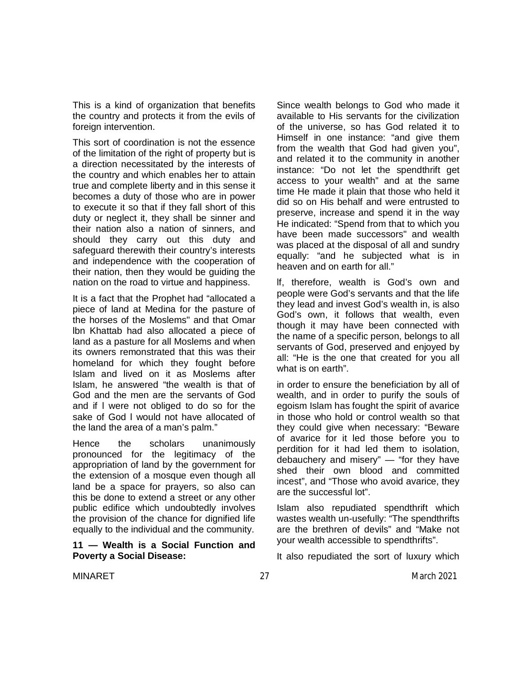This is a kind of organization that benefits the country and protects it from the evils of foreign intervention.

This sort of coordination is not the essence of the limitation of the right of property but is a direction necessitated by the interests of the country and which enables her to attain true and complete liberty and in this sense it becomes a duty of those who are in power to execute it so that if they fall short of this duty or neglect it, they shall be sinner and their nation also a nation of sinners, and should they carry out this duty and safeguard therewith their country's interests and independence with the cooperation of their nation, then they would be guiding the nation on the road to virtue and happiness.

It is a fact that the Prophet had "allocated a piece of land at Medina for the pasture of the horses of the Moslems" and that Omar lbn Khattab had also allocated a piece of land as a pasture for all Moslems and when its owners remonstrated that this was their homeland for which they fought before Islam and lived on it as Moslems after Islam, he answered "the wealth is that of God and the men are the servants of God and if l were not obliged to do so for the sake of God l would not have allocated of the land the area of a man's palm."

Hence the scholars unanimously pronounced for the legitimacy of the appropriation of land by the government for the extension of a mosque even though all land be a space for prayers, so also can this be done to extend a street or any other public edifice which undoubtedly involves the provision of the chance for dignified life equally to the individual and the community.

#### **11 — Wealth is a Social Function and Poverty a Social Disease:**

Since wealth belongs to God who made it available to His servants for the civilization of the universe, so has God related it to Himself in one instance: "and give them from the wealth that God had given you", and related it to the community in another instance: "Do not let the spendthrift get access to your wealth" and at the same time He made it plain that those who held it did so on His behalf and were entrusted to preserve, increase and spend it in the way He indicated: "Spend from that to which you have been made successors" and wealth was placed at the disposal of all and sundry equally: "and he subjected what is in heaven and on earth for all."

lf, therefore, wealth is God's own and people were God's servants and that the life they lead and invest God's wealth in, is also God's own, it follows that wealth, even though it may have been connected with the name of a specific person, belongs to all servants of God, preserved and enjoyed by all: "He is the one that created for you all what is on earth".

in order to ensure the beneficiation by all of wealth, and in order to purify the souls of egoism Islam has fought the spirit of avarice in those who hold or control wealth so that they could give when necessary: "Beware of avarice for it led those before you to perdition for it had led them to isolation, debauchery and misery" — "for they have shed their own blood and committed incest", and "Those who avoid avarice, they are the successful lot".

Islam also repudiated spendthrift which wastes wealth un-usefully: "The spendthrifts are the brethren of devils" and "Make not your wealth accessible to spendthrifts".

It also repudiated the sort of luxury which

MINARET 27 27 March 2021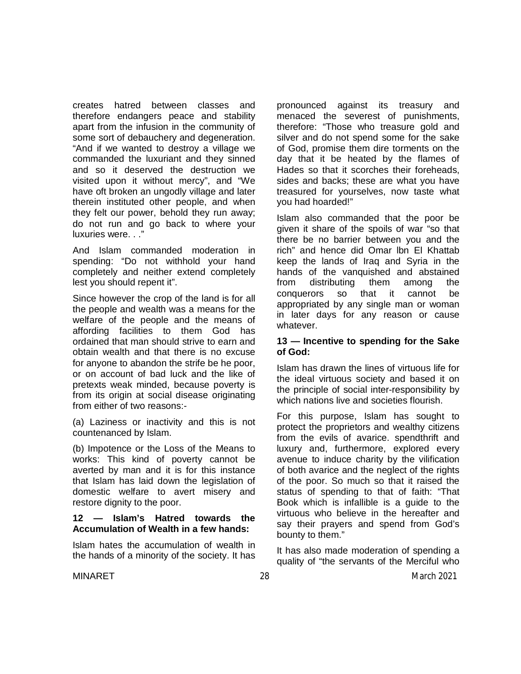creates hatred between classes and therefore endangers peace and stability apart from the infusion in the community of some sort of debauchery and degeneration. "And if we wanted to destroy a village we commanded the luxuriant and they sinned and so it deserved the destruction we visited upon it without mercy", and "We have oft broken an ungodly village and later therein instituted other people, and when they felt our power, behold they run away; do not run and go back to where your luxuries were...'

And Islam commanded moderation in spending: "Do not withhold your hand completely and neither extend completely lest you should repent it".

Since however the crop of the land is for all the people and wealth was a means for the welfare of the people and the means of affording facilities to them God has ordained that man should strive to earn and obtain wealth and that there is no excuse for anyone to abandon the strife be he poor, or on account of bad luck and the like of pretexts weak minded, because poverty is from its origin at social disease originating from either of two reasons:-

(a) Laziness or inactivity and this is not countenanced by Islam.

(b) Impotence or the Loss of the Means to works: This kind of poverty cannot be averted by man and it is for this instance that Islam has laid down the legislation of domestic welfare to avert misery and restore dignity to the poor.

#### **12 — Islam's Hatred towards the Accumulation of Wealth in a few hands:**

Islam hates the accumulation of wealth in the hands of a minority of the society. It has pronounced against its treasury and menaced the severest of punishments, therefore: "Those who treasure gold and silver and do not spend some for the sake of God, promise them dire torments on the day that it be heated by the flames of Hades so that it scorches their foreheads, sides and backs; these are what you have treasured for yourselves, now taste what you had hoarded!"

Islam also commanded that the poor be given it share of the spoils of war "so that there be no barrier between you and the rich" and hence did Omar lbn El Khattab keep the lands of Iraq and Syria in the hands of the vanquished and abstained from distributing them among the conquerors so that it cannot be appropriated by any single man or woman in later days for any reason or cause whatever.

#### **13 — Incentive to spending for the Sake of God:**

Islam has drawn the lines of virtuous life for the ideal virtuous society and based it on the principle of social inter-responsibility by which nations live and societies flourish.

For this purpose, Islam has sought to protect the proprietors and wealthy citizens from the evils of avarice. spendthrift and luxury and, furthermore, explored every avenue to induce charity by the vilification of both avarice and the neglect of the rights of the poor. So much so that it raised the status of spending to that of faith: "That Book which is infallible is a guide to the virtuous who believe in the hereafter and say their prayers and spend from God's bounty to them."

It has also made moderation of spending a quality of "the servants of the Merciful who

MINARET 28 28 March 2021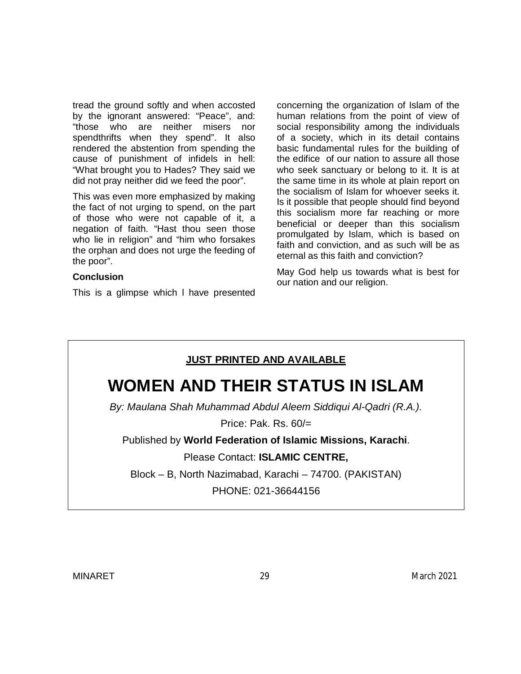tread the ground softly and when accosted by the ignorant answered: "Peace", and: "those who are neither misers nor spendthrifts when they spend". It also rendered the abstention from spending the cause of punishment of infidels in hell: "What brought you to Hades? They said we did not pray neither did we feed the poor".

This was even more emphasized by making the fact of not urging to spend, on the part of those who were not capable of it, a negation of faith. "Hast thou seen those who lie in religion" and "him who forsakes the orphan and does not urge the feeding of the poor".

#### **Conclusion**

This is a glimpse which l have presented

concerning the organization of Islam of the human relations from the point of view of social responsibility among the individuals of a society, which in its detail contains basic fundamental rules for the building of the edifice of our nation to assure all those who seek sanctuary or belong to it. It is at the same time in its whole at plain report on the socialism of Islam for whoever seeks it. Is it possible that people should find beyond this socialism more far reaching or more beneficial or deeper than this socialism promulgated by Islam, which is based on faith and conviction, and as such will be as eternal as this faith and conviction?

May God help us towards what is best for our nation and our religion.

## **JUST PRINTED AND AVAILABLE**

## **WOMEN AND THEIR STATUS IN ISLAM**

*By: Maulana Shah Muhammad Abdul Aleem Siddiqui Al-Qadri (R.A.).*

Price: Pak. Rs. 60/=

Published by **World Federation of Islamic Missions, Karachi**.

Please Contact: **ISLAMIC CENTRE,**

Block – B, North Nazimabad, Karachi – 74700. (PAKISTAN)

PHONE: 021-36644156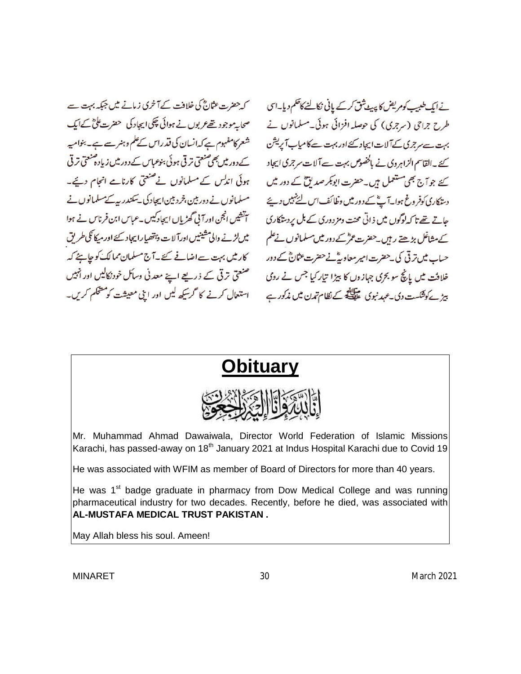کہ حضرت عثانؓ کی خلافت کے آخری زمانے میں جبکہ بہت ہے صحابہ موجود تھے عربوں نے ہوائی چکی ایجاد کی حضرت علیٰ کے ایک شعر کامفہوم ہے کہ انسان کی قدراس کےعلم وہنر سے ہے۔ بنوامیہ کے دور میں بھی صنعتی ترقی ہوئی بنوعیاس کے دور میں زیادہ صنعتی ترقی ہوئی اندلس کے مسلمانوں نے صنعتی کارنامے انجام دیے۔ مسلمانوں نے دوربین،خردبین ایجاد کی یسکندر پیے مسلمانوں نے س این فرناس نے ہوا<br>سینئیں انجن اور آئی گھڑیاں ایجادکیں۔عباس ابن فرناس نے ہوا میں لڑنے والی مشینیں اور آلات وہتھیا رایجاد کئے اور میکا کی طریق کار ٹیں بہت سےاضافے کئے۔آج مسلمان ممالک کو چاہئے کہ صنعتی ترقی کے ذریعے اپنے معدنی وسائل خودنکالیں اور انہیں استعال کرنے کا گرسکھ لیں اور اپنی معیشت کو مشکم کریں۔

نے ایک طبیب کوم یض کا پیٹ ثق کرکے پانی نکالنے کاظکم دیا۔اس طرح جراحی (سرجری) کی حوصلہ افزائی ہوئی۔مسلمانوں نے بہت ہے مرجری کے آلات ایجاد کئے اور بہت کامیاب آپریشن کئے۔القاسم الزاہروی نے بالخصوص بہت سے آلات سرجری ایجاد کئے جو آج بھی مستعمل ہیں۔حضرت ابوبکر صدیق کے دور میں دستنکاری کوفر وغ ہوا۔آ پؓ کے دور میں وظائف اس لئے نہیں دیئے جاتے تھے تا کہ لوگوں میں ذاتی محنت ومزدوری کے بل پردستگاری کے مشاغل بڑھتے رہیں۔حضرت عمر کے دور میں مسلمانوں نے علم حیاب میں تر تی کی جھٹرت امیر معاویڈنے حضرت عثالثؓ کے دور خلافت میں پانچ سو بجری جہازوں کا بیڑا تیار کیا جس نے روی ہیڑ کے دشکست دی۔عہد نبوی علیلنگا کے نظام تمدن میں مذکور ہے

# **Obituary**



Mr. Muhammad Ahmad Dawaiwala, Director World Federation of Islamic Missions Karachi, has passed-away on 18<sup>th</sup> January 2021 at Indus Hospital Karachi due to Covid 19

He was associated with WFIM as member of Board of Directors for more than 40 years.

He was 1<sup>st</sup> badge graduate in pharmacy from Dow Medical College and was running pharmaceutical industry for two decades. Recently, before he died, was associated with **AL-MUSTAFA MEDICAL TRUST PAKISTAN .** 

May Allah bless his soul. Ameen!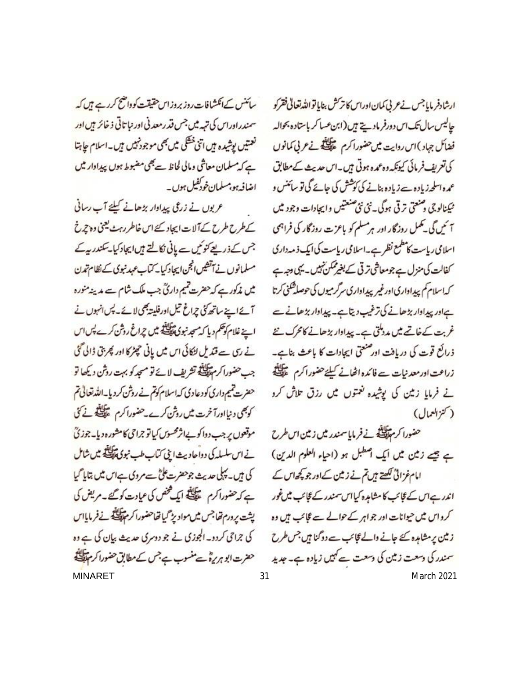سائنس کےانکشافات روز بروزاس حقیقت کوواضح کررہے ہیں کہ سمندراوراس کی تہہ میں جس قدرمعدنی اور نباتاتی ذخائر ہیں اور نعتیں پوشیدہ ہیں اتنی خطکی میں بھی موجود نہیں ہیں۔اسلام حابتا ہے کہ مسلمان معاشی ومالی لحاظ ہے بھی مضبوط ہوں پیداوار میں اضافہ ہو،مسلمان خودکفیل ہوں۔

ع یوں نے زرعی پیداوار بڑھانے کیلئے آپ رسانی کے طرح طرح کے آلات ایجاد کئے اس خاطر رہٹ یعنی وہ چرخ جس کے ذریعے کنو کیں ہے پانی نکالتے ہیں ایجاد کیا۔ سکندر ہے مسلمانوں نے آتشیں انجن ایجاد کیا۔کتاب عہد نبوی کے نظام تمدن میں مذکور ہے کہ حضرت تیم داریؒ جب ملک شام سے مدینہ منورہ آئے اپنے ساتھ کی چراغ تیل اور فلیتہ بھی لائے۔ پس انہوں نے اپنے غلام کوتھم دیا کہ مجد نبوی پیچلینڈیشن چراغ روشن کرے پس اس تے ری سے قندیل لٹکائی اس میں یانی چیٹر کا اور پھر بتی ڈالی گئی جب حضورا كرم تَقِيَّلَيْة تشريف لائے نو مسجد كو بہت روش ديكھا تو حضرت تیم داری کودعادی که اسلام کوتم نے روش کردیا۔اللہ تعالیٰ تم کوبھی دنیااورآخرت میں روش کرے۔حضوراکرم ﷺ نے کی موقعوں پر جب دواکو بےاثر محسوس کیاتو جراحی کامشورہ دیا۔جوزئ نے اس سلسلہ کی دواعادیث اپنی کتاب طب نبوی تلکیلئے میں شامل کی ہیں۔ پہلی حدیث جوحضرت علیؓ ہے مروی ہےاس میں بتایا گیا ہے کہ حضوراکرم سینگ ایک فحض کی عیادت کو گئے۔مریض کی يشت يرورم تحاجس ميں مواديز كيا تھاحضورا كر مہيلنگ نے فرماياس کی جراحی کردو۔ الجوزی نے جو دوسری حدیث بیان کی ہے وہ حضرت ابو ہریرہؓ ہے منسوب ہے جس کے مطابق حضورا کر مہالی ہے

ارشادفر مایا جس نےعربی کمان اوراس کا ترکش بنایا تواللہ تعالیٰ فقرکو حاليس سال تك اس دورفر ماديج بين (ابن عساكر باستاده بحواله فضائل جہاد )اس روایت میں حضوراکرم سیکنگ نے عربی کمانوں کی تعریف فرمائی کیونکہ وہ عمدہ ہوتی ہیں۔اس حدیث کے مطابق عمدہ اسلحہ زیادہ ہے زیادہ بنانے کی کوشش کی جائے گی تو سائنس و نيكنالوجي ومنعتي ترقى هوگې \_نئي نئى صنعتيں واپچادات وجود ميں <sup>7</sup> ئیں گی۔ تکمل روزگار اور ہرمسلم کو باعزت روزگار کی فراہمی اسلامی ریاست کامطمع نظر ہے۔اسلامی ریاست کی ایک ذمہ داری کفالت کی منزل ہے جومعاشی ترقی کے بغیرممکن نہیں۔ یہی دجہ ہے کەاسلام کم پىدادارى اورغير پىدادارى سرگرميوں کى حوصلة شئى كرتا ہےاور پیداوار بڑھانے کی ترغیب دیتا ہے۔ پیداوار بڑھانے سے غربت کے خاتمے میں مددملتی ہے۔ پیداوار بڑھانے کامحرک نئے ذرائع قوت کی دریافت اور صنعتی ایجادات کا باعث بناہے۔ زراعت ادرمعد نیات ہے فائدہ اٹھانے کیلئےحضور اکرم ﷺ نے فرمایا زمین کی پوشیدہ نعتوں میں رزق تلاش کرد ( كنزالعمال)

حضورا كرم تلك فى فرمايا سندر مين زمين اس طرح ہے بیجے زمین میں ایک اصطبل ہو (احیاء العلوم الدین) امام غزائی لکھتے ہیں تم نے زمین کے اور جو کچھ اس کے اندر ہے اس کے عجائب کا مشاہدہ کیا اس سمندر کے عجائب میں غور کرواس میں حیوانات اور جواہر کے حوالے سے گائب ہیں وہ زمین پرمشامدہ کئے جانے والے گائب ہے دوگنا ہیں جس طرح سمندر کی دسعت زمین کی دسعت سے کہیں زیادہ ہے۔ جدید MINARET 31 March 2021